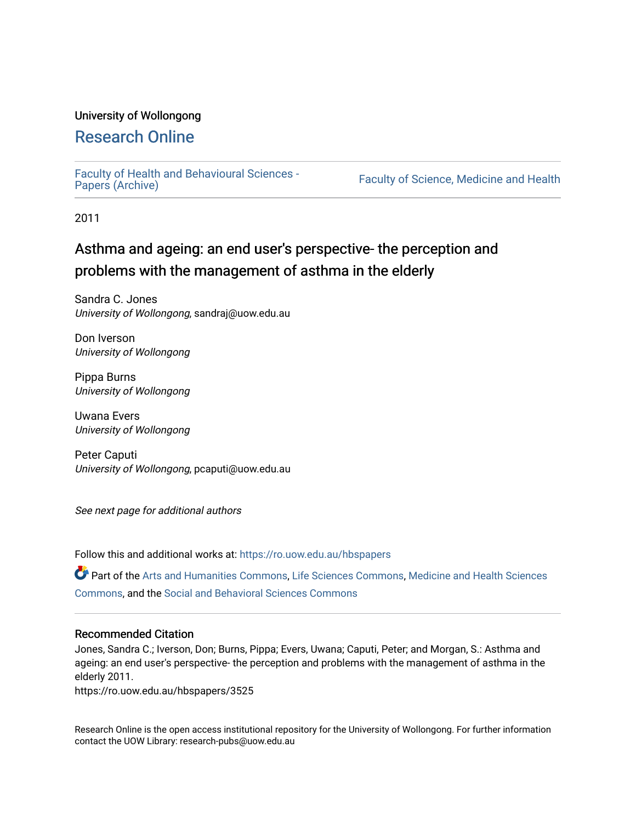# University of Wollongong

# [Research Online](https://ro.uow.edu.au/)

[Faculty of Health and Behavioural Sciences -](https://ro.uow.edu.au/hbspapers)<br>Papers (Archive)

Faculty of Science, Medicine and Health

2011

# Asthma and ageing: an end user's perspective- the perception and problems with the management of asthma in the elderly

Sandra C. Jones University of Wollongong, sandraj@uow.edu.au

Don Iverson University of Wollongong

Pippa Burns University of Wollongong

Uwana Evers University of Wollongong

Peter Caputi University of Wollongong, pcaputi@uow.edu.au

See next page for additional authors

Follow this and additional works at: [https://ro.uow.edu.au/hbspapers](https://ro.uow.edu.au/hbspapers?utm_source=ro.uow.edu.au%2Fhbspapers%2F3525&utm_medium=PDF&utm_campaign=PDFCoverPages) 

Part of the [Arts and Humanities Commons,](http://network.bepress.com/hgg/discipline/438?utm_source=ro.uow.edu.au%2Fhbspapers%2F3525&utm_medium=PDF&utm_campaign=PDFCoverPages) [Life Sciences Commons,](http://network.bepress.com/hgg/discipline/1016?utm_source=ro.uow.edu.au%2Fhbspapers%2F3525&utm_medium=PDF&utm_campaign=PDFCoverPages) [Medicine and Health Sciences](http://network.bepress.com/hgg/discipline/648?utm_source=ro.uow.edu.au%2Fhbspapers%2F3525&utm_medium=PDF&utm_campaign=PDFCoverPages) [Commons](http://network.bepress.com/hgg/discipline/648?utm_source=ro.uow.edu.au%2Fhbspapers%2F3525&utm_medium=PDF&utm_campaign=PDFCoverPages), and the [Social and Behavioral Sciences Commons](http://network.bepress.com/hgg/discipline/316?utm_source=ro.uow.edu.au%2Fhbspapers%2F3525&utm_medium=PDF&utm_campaign=PDFCoverPages)

#### Recommended Citation

Jones, Sandra C.; Iverson, Don; Burns, Pippa; Evers, Uwana; Caputi, Peter; and Morgan, S.: Asthma and ageing: an end user's perspective- the perception and problems with the management of asthma in the elderly 2011.

https://ro.uow.edu.au/hbspapers/3525

Research Online is the open access institutional repository for the University of Wollongong. For further information contact the UOW Library: research-pubs@uow.edu.au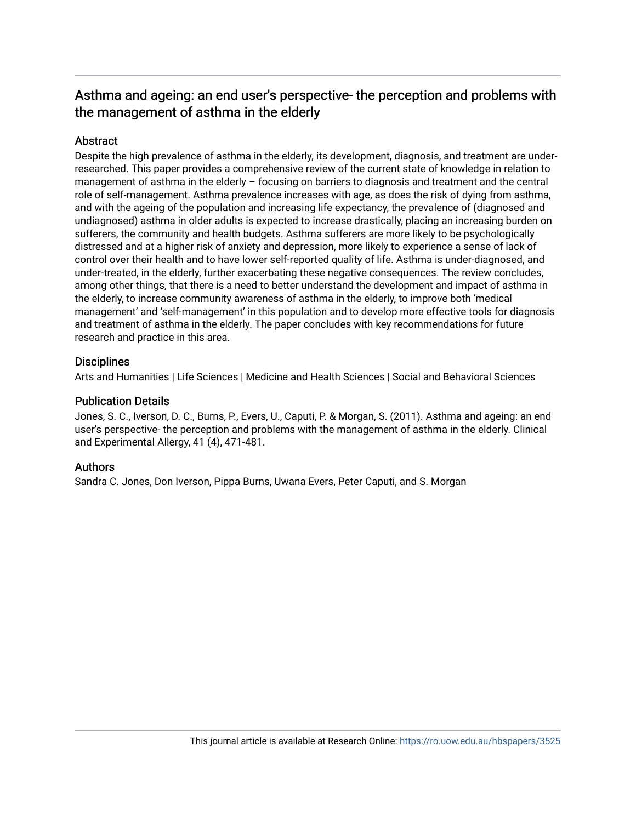# Asthma and ageing: an end user's perspective- the perception and problems with the management of asthma in the elderly

# **Abstract**

Despite the high prevalence of asthma in the elderly, its development, diagnosis, and treatment are underresearched. This paper provides a comprehensive review of the current state of knowledge in relation to management of asthma in the elderly – focusing on barriers to diagnosis and treatment and the central role of self-management. Asthma prevalence increases with age, as does the risk of dying from asthma, and with the ageing of the population and increasing life expectancy, the prevalence of (diagnosed and undiagnosed) asthma in older adults is expected to increase drastically, placing an increasing burden on sufferers, the community and health budgets. Asthma sufferers are more likely to be psychologically distressed and at a higher risk of anxiety and depression, more likely to experience a sense of lack of control over their health and to have lower self-reported quality of life. Asthma is under-diagnosed, and under-treated, in the elderly, further exacerbating these negative consequences. The review concludes, among other things, that there is a need to better understand the development and impact of asthma in the elderly, to increase community awareness of asthma in the elderly, to improve both 'medical management' and 'self-management' in this population and to develop more effective tools for diagnosis and treatment of asthma in the elderly. The paper concludes with key recommendations for future research and practice in this area.

## **Disciplines**

Arts and Humanities | Life Sciences | Medicine and Health Sciences | Social and Behavioral Sciences

## Publication Details

Jones, S. C., Iverson, D. C., Burns, P., Evers, U., Caputi, P. & Morgan, S. (2011). Asthma and ageing: an end user's perspective- the perception and problems with the management of asthma in the elderly. Clinical and Experimental Allergy, 41 (4), 471-481.

# Authors

Sandra C. Jones, Don Iverson, Pippa Burns, Uwana Evers, Peter Caputi, and S. Morgan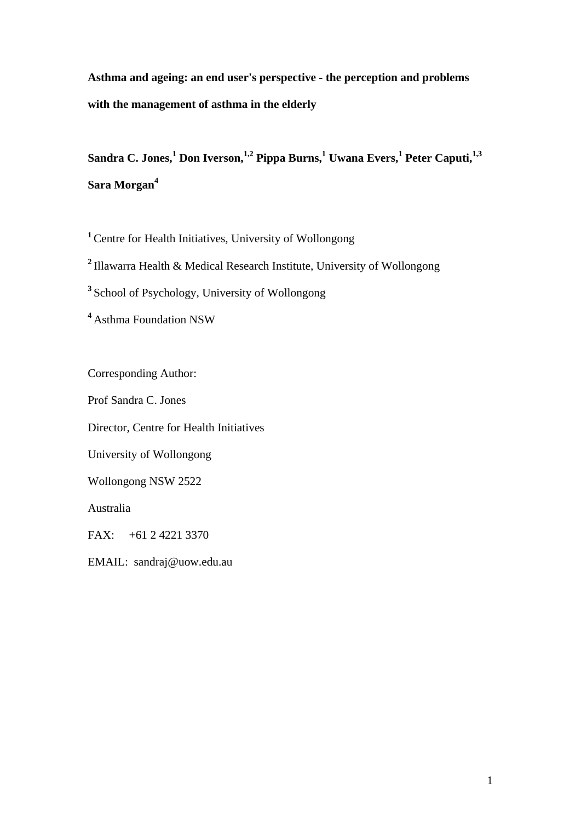**Asthma and ageing: an end user's perspective - the perception and problems with the management of asthma in the elderly** 

 $S$ andra C. Jones, $^{1}$  Don Iverson, $^{1,2}$  Pippa Burns, $^{1}$  Uwana Evers, $^{1}$  Peter Caputi, $^{1,3}$ **Sara Morgan4**

**<sup>1</sup>**Centre for Health Initiatives, University of Wollongong

**<sup>2</sup>**Illawarra Health & Medical Research Institute, University of Wollongong

**<sup>3</sup>**School of Psychology, University of Wollongong

**<sup>4</sup>**Asthma Foundation NSW

Corresponding Author: Prof Sandra C. Jones Director, Centre for Health Initiatives University of Wollongong Wollongong NSW 2522 Australia FAX: +61 2 4221 3370 EMAIL: sandraj@uow.edu.au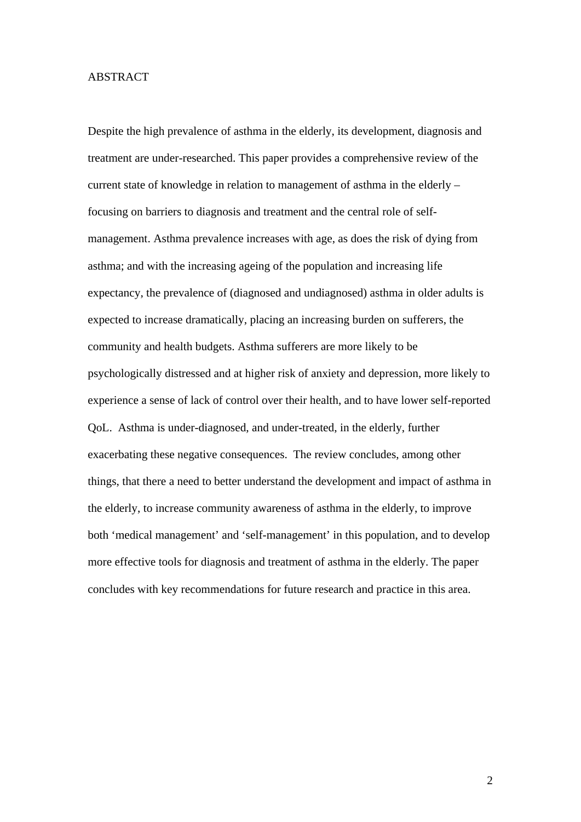#### ABSTRACT

Despite the high prevalence of asthma in the elderly, its development, diagnosis and treatment are under-researched. This paper provides a comprehensive review of the current state of knowledge in relation to management of asthma in the elderly – focusing on barriers to diagnosis and treatment and the central role of selfmanagement. Asthma prevalence increases with age, as does the risk of dying from asthma; and with the increasing ageing of the population and increasing life expectancy, the prevalence of (diagnosed and undiagnosed) asthma in older adults is expected to increase dramatically, placing an increasing burden on sufferers, the community and health budgets. Asthma sufferers are more likely to be psychologically distressed and at higher risk of anxiety and depression, more likely to experience a sense of lack of control over their health, and to have lower self-reported QoL. Asthma is under-diagnosed, and under-treated, in the elderly, further exacerbating these negative consequences. The review concludes, among other things, that there a need to better understand the development and impact of asthma in the elderly, to increase community awareness of asthma in the elderly, to improve both 'medical management' and 'self-management' in this population, and to develop more effective tools for diagnosis and treatment of asthma in the elderly. The paper concludes with key recommendations for future research and practice in this area.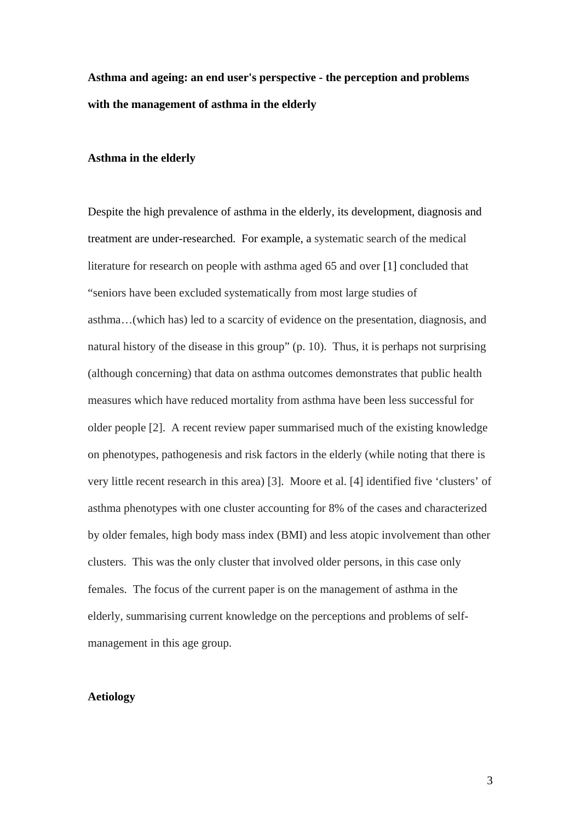**Asthma and ageing: an end user's perspective - the perception and problems with the management of asthma in the elderly** 

#### **Asthma in the elderly**

Despite the high prevalence of asthma in the elderly, its development, diagnosis and treatment are under-researched. For example, a systematic search of the medical literature for research on people with asthma aged 65 and over [1] concluded that "seniors have been excluded systematically from most large studies of asthma…(which has) led to a scarcity of evidence on the presentation, diagnosis, and natural history of the disease in this group" (p. 10). Thus, it is perhaps not surprising (although concerning) that data on asthma outcomes demonstrates that public health measures which have reduced mortality from asthma have been less successful for older people [2]. A recent review paper summarised much of the existing knowledge on phenotypes, pathogenesis and risk factors in the elderly (while noting that there is very little recent research in this area) [3]. Moore et al. [4] identified five 'clusters' of asthma phenotypes with one cluster accounting for 8% of the cases and characterized by older females, high body mass index (BMI) and less atopic involvement than other clusters. This was the only cluster that involved older persons, in this case only females. The focus of the current paper is on the management of asthma in the elderly, summarising current knowledge on the perceptions and problems of selfmanagement in this age group.

# **Aetiology**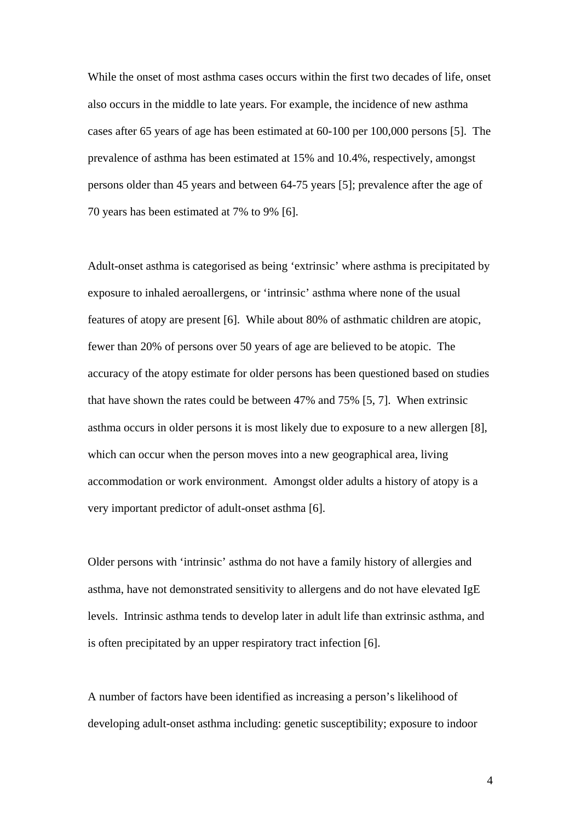While the onset of most asthma cases occurs within the first two decades of life, onset also occurs in the middle to late years. For example, the incidence of new asthma cases after 65 years of age has been estimated at 60-100 per 100,000 persons [5]. The prevalence of asthma has been estimated at 15% and 10.4%, respectively, amongst persons older than 45 years and between 64-75 years [5]; prevalence after the age of 70 years has been estimated at 7% to 9% [6].

Adult-onset asthma is categorised as being 'extrinsic' where asthma is precipitated by exposure to inhaled aeroallergens, or 'intrinsic' asthma where none of the usual features of atopy are present [6]. While about 80% of asthmatic children are atopic, fewer than 20% of persons over 50 years of age are believed to be atopic. The accuracy of the atopy estimate for older persons has been questioned based on studies that have shown the rates could be between 47% and 75% [5, 7]. When extrinsic asthma occurs in older persons it is most likely due to exposure to a new allergen [8], which can occur when the person moves into a new geographical area, living accommodation or work environment. Amongst older adults a history of atopy is a very important predictor of adult-onset asthma [6].

Older persons with 'intrinsic' asthma do not have a family history of allergies and asthma, have not demonstrated sensitivity to allergens and do not have elevated IgE levels. Intrinsic asthma tends to develop later in adult life than extrinsic asthma, and is often precipitated by an upper respiratory tract infection [6].

A number of factors have been identified as increasing a person's likelihood of developing adult-onset asthma including: genetic susceptibility; exposure to indoor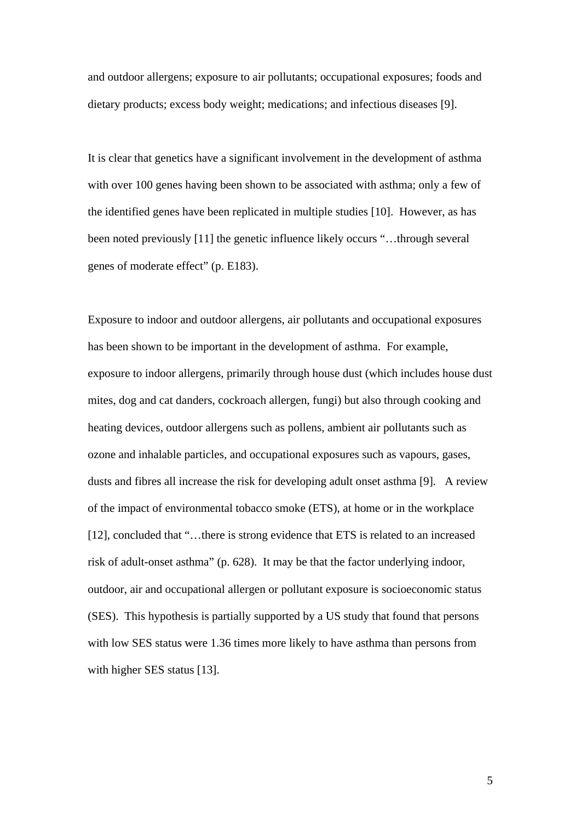and outdoor allergens; exposure to air pollutants; occupational exposures; foods and dietary products; excess body weight; medications; and infectious diseases [9].

It is clear that genetics have a significant involvement in the development of asthma with over 100 genes having been shown to be associated with asthma; only a few of the identified genes have been replicated in multiple studies [10]. However, as has been noted previously [11] the genetic influence likely occurs "…through several genes of moderate effect" (p. E183).

Exposure to indoor and outdoor allergens, air pollutants and occupational exposures has been shown to be important in the development of asthma. For example, exposure to indoor allergens, primarily through house dust (which includes house dust mites, dog and cat danders, cockroach allergen, fungi) but also through cooking and heating devices, outdoor allergens such as pollens, ambient air pollutants such as ozone and inhalable particles, and occupational exposures such as vapours, gases, dusts and fibres all increase the risk for developing adult onset asthma [9]. A review of the impact of environmental tobacco smoke (ETS), at home or in the workplace [12], concluded that "...there is strong evidence that ETS is related to an increased risk of adult-onset asthma" (p. 628). It may be that the factor underlying indoor, outdoor, air and occupational allergen or pollutant exposure is socioeconomic status (SES). This hypothesis is partially supported by a US study that found that persons with low SES status were 1.36 times more likely to have asthma than persons from with higher SES status [13].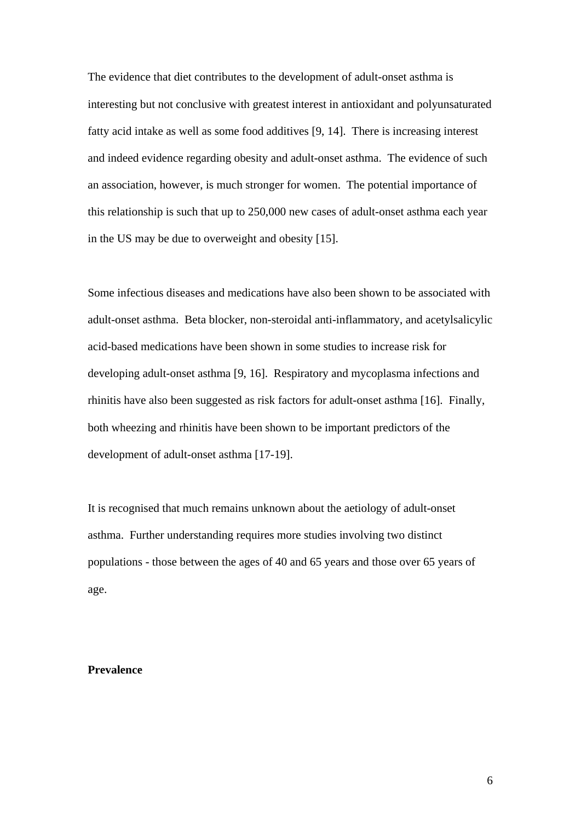The evidence that diet contributes to the development of adult-onset asthma is interesting but not conclusive with greatest interest in antioxidant and polyunsaturated fatty acid intake as well as some food additives [9, 14]. There is increasing interest and indeed evidence regarding obesity and adult-onset asthma. The evidence of such an association, however, is much stronger for women. The potential importance of this relationship is such that up to 250,000 new cases of adult-onset asthma each year in the US may be due to overweight and obesity [15].

Some infectious diseases and medications have also been shown to be associated with adult-onset asthma. Beta blocker, non-steroidal anti-inflammatory, and acetylsalicylic acid-based medications have been shown in some studies to increase risk for developing adult-onset asthma [9, 16]. Respiratory and mycoplasma infections and rhinitis have also been suggested as risk factors for adult-onset asthma [16]. Finally, both wheezing and rhinitis have been shown to be important predictors of the development of adult-onset asthma [17-19].

It is recognised that much remains unknown about the aetiology of adult-onset asthma. Further understanding requires more studies involving two distinct populations - those between the ages of 40 and 65 years and those over 65 years of age.

# **Prevalence**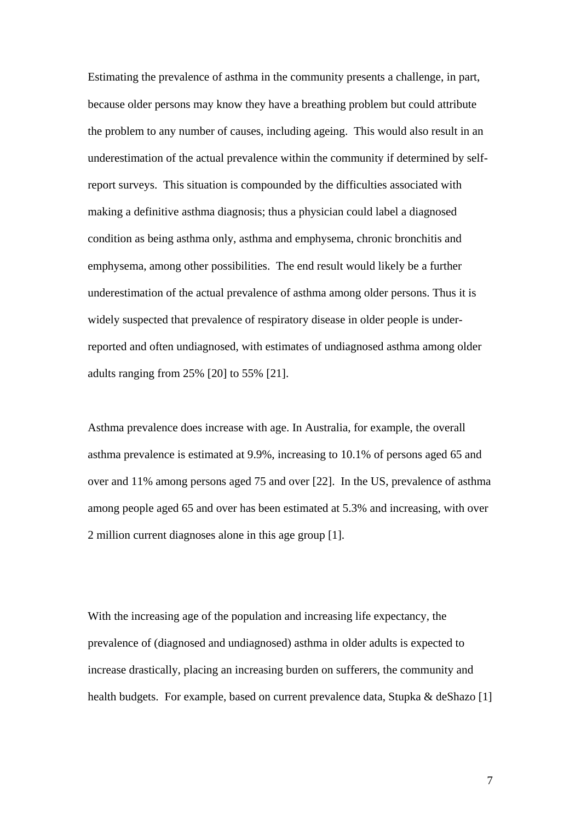Estimating the prevalence of asthma in the community presents a challenge, in part, because older persons may know they have a breathing problem but could attribute the problem to any number of causes, including ageing. This would also result in an underestimation of the actual prevalence within the community if determined by selfreport surveys. This situation is compounded by the difficulties associated with making a definitive asthma diagnosis; thus a physician could label a diagnosed condition as being asthma only, asthma and emphysema, chronic bronchitis and emphysema, among other possibilities. The end result would likely be a further underestimation of the actual prevalence of asthma among older persons. Thus it is widely suspected that prevalence of respiratory disease in older people is underreported and often undiagnosed, with estimates of undiagnosed asthma among older adults ranging from 25% [20] to 55% [21].

Asthma prevalence does increase with age. In Australia, for example, the overall asthma prevalence is estimated at 9.9%, increasing to 10.1% of persons aged 65 and over and 11% among persons aged 75 and over [22]. In the US, prevalence of asthma among people aged 65 and over has been estimated at 5.3% and increasing, with over 2 million current diagnoses alone in this age group [1].

With the increasing age of the population and increasing life expectancy, the prevalence of (diagnosed and undiagnosed) asthma in older adults is expected to increase drastically, placing an increasing burden on sufferers, the community and health budgets. For example, based on current prevalence data, Stupka & deShazo [1]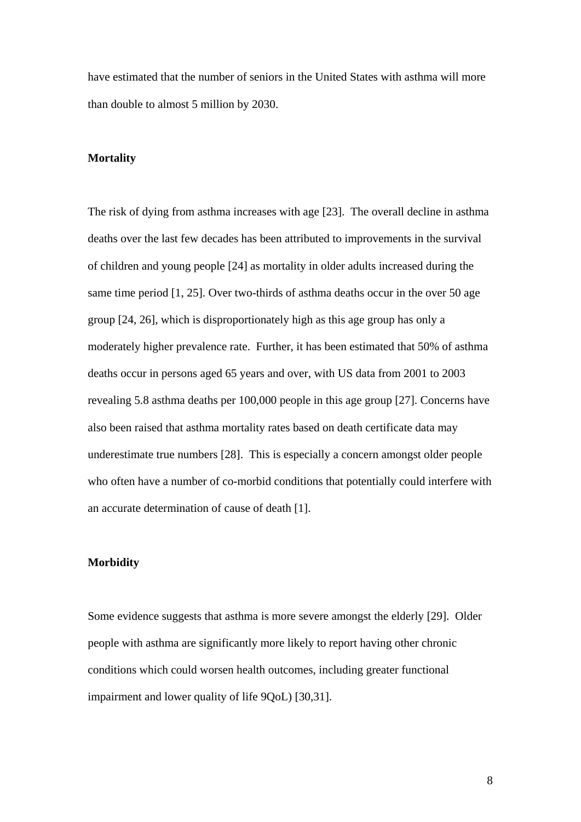have estimated that the number of seniors in the United States with asthma will more than double to almost 5 million by 2030.

# **Mortality**

The risk of dying from asthma increases with age [23]. The overall decline in asthma deaths over the last few decades has been attributed to improvements in the survival of children and young people [24] as mortality in older adults increased during the same time period [1, 25]. Over two-thirds of asthma deaths occur in the over 50 age group [24, 26], which is disproportionately high as this age group has only a moderately higher prevalence rate. Further, it has been estimated that 50% of asthma deaths occur in persons aged 65 years and over, with US data from 2001 to 2003 revealing 5.8 asthma deaths per 100,000 people in this age group [27]. Concerns have also been raised that asthma mortality rates based on death certificate data may underestimate true numbers [28]. This is especially a concern amongst older people who often have a number of co-morbid conditions that potentially could interfere with an accurate determination of cause of death [1].

#### **Morbidity**

Some evidence suggests that asthma is more severe amongst the elderly [29]. Older people with asthma are significantly more likely to report having other chronic conditions which could worsen health outcomes, including greater functional impairment and lower quality of life 9QoL) [30,31].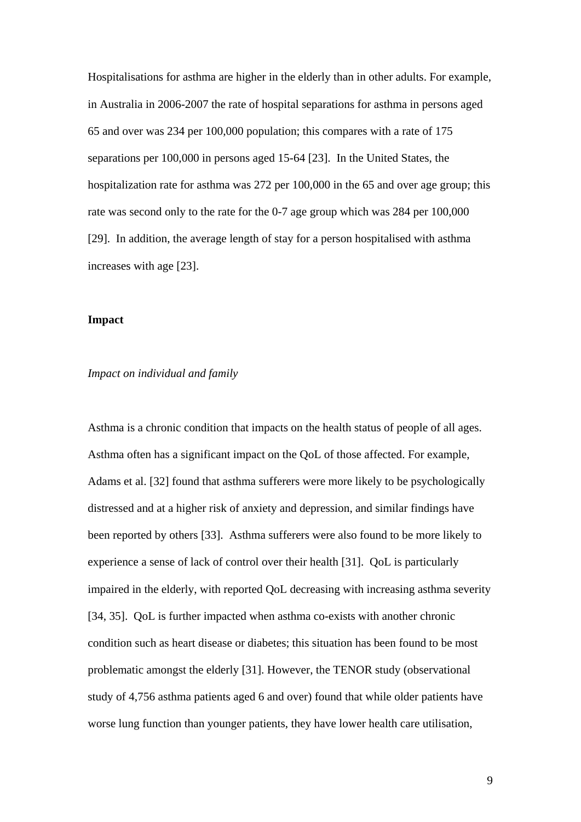Hospitalisations for asthma are higher in the elderly than in other adults. For example, in Australia in 2006-2007 the rate of hospital separations for asthma in persons aged 65 and over was 234 per 100,000 population; this compares with a rate of 175 separations per 100,000 in persons aged 15-64 [23]. In the United States, the hospitalization rate for asthma was 272 per 100,000 in the 65 and over age group; this rate was second only to the rate for the 0-7 age group which was 284 per 100,000 [29]. In addition, the average length of stay for a person hospitalised with asthma increases with age [23].

### **Impact**

#### *Impact on individual and family*

Asthma is a chronic condition that impacts on the health status of people of all ages. Asthma often has a significant impact on the QoL of those affected. For example, Adams et al. [32] found that asthma sufferers were more likely to be psychologically distressed and at a higher risk of anxiety and depression, and similar findings have been reported by others [33]. Asthma sufferers were also found to be more likely to experience a sense of lack of control over their health [31]. QoL is particularly impaired in the elderly, with reported QoL decreasing with increasing asthma severity [34, 35]. QoL is further impacted when asthma co-exists with another chronic condition such as heart disease or diabetes; this situation has been found to be most problematic amongst the elderly [31]. However, the TENOR study (observational study of 4,756 asthma patients aged 6 and over) found that while older patients have worse lung function than younger patients, they have lower health care utilisation,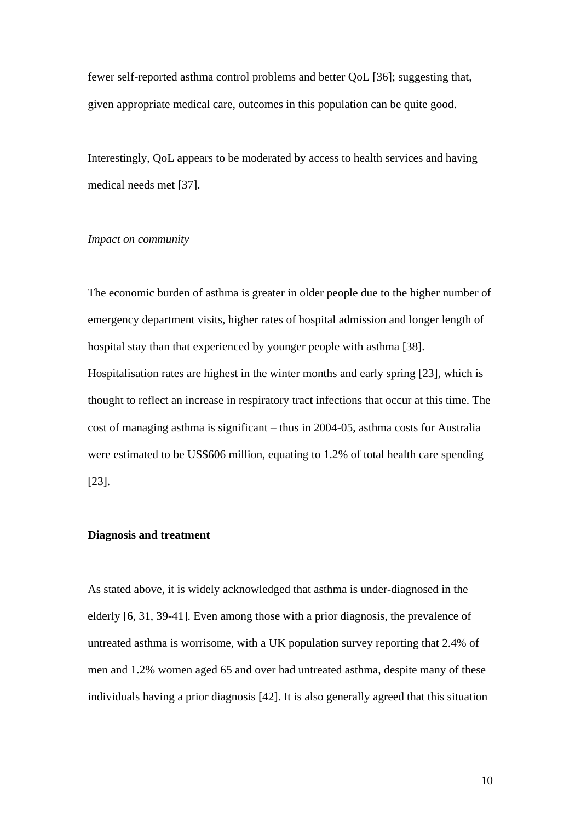fewer self-reported asthma control problems and better QoL [36]; suggesting that, given appropriate medical care, outcomes in this population can be quite good.

Interestingly, QoL appears to be moderated by access to health services and having medical needs met [37].

#### *Impact on community*

The economic burden of asthma is greater in older people due to the higher number of emergency department visits, higher rates of hospital admission and longer length of hospital stay than that experienced by younger people with asthma [38]. Hospitalisation rates are highest in the winter months and early spring [23], which is thought to reflect an increase in respiratory tract infections that occur at this time. The cost of managing asthma is significant – thus in 2004-05, asthma costs for Australia were estimated to be US\$606 million, equating to 1.2% of total health care spending [23].

#### **Diagnosis and treatment**

As stated above, it is widely acknowledged that asthma is under-diagnosed in the elderly [6, 31, 39-41]. Even among those with a prior diagnosis, the prevalence of untreated asthma is worrisome, with a UK population survey reporting that 2.4% of men and 1.2% women aged 65 and over had untreated asthma, despite many of these individuals having a prior diagnosis [42]. It is also generally agreed that this situation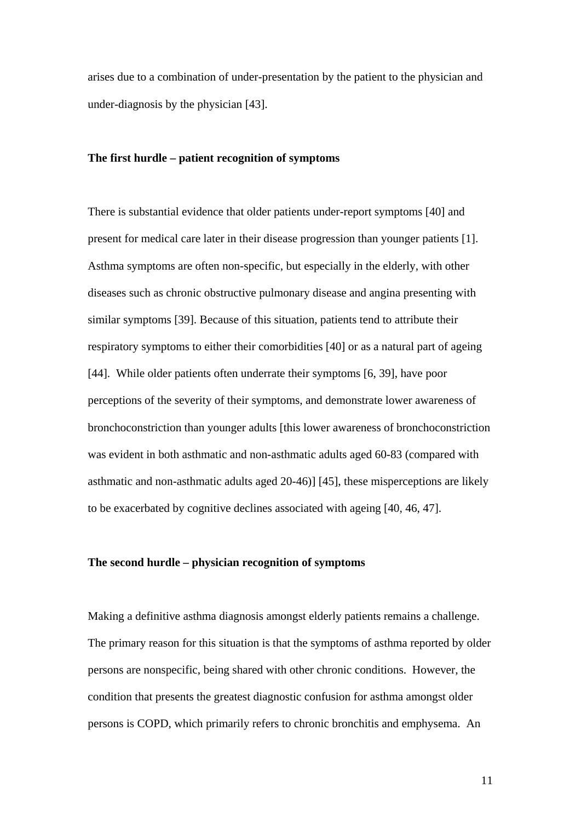arises due to a combination of under-presentation by the patient to the physician and under-diagnosis by the physician [43].

#### **The first hurdle – patient recognition of symptoms**

There is substantial evidence that older patients under-report symptoms [40] and present for medical care later in their disease progression than younger patients [1]. Asthma symptoms are often non-specific, but especially in the elderly, with other diseases such as chronic obstructive pulmonary disease and angina presenting with similar symptoms [39]. Because of this situation, patients tend to attribute their respiratory symptoms to either their comorbidities [40] or as a natural part of ageing [44]. While older patients often underrate their symptoms [6, 39], have poor perceptions of the severity of their symptoms, and demonstrate lower awareness of bronchoconstriction than younger adults [this lower awareness of bronchoconstriction was evident in both asthmatic and non-asthmatic adults aged 60-83 (compared with asthmatic and non-asthmatic adults aged 20-46)] [45], these misperceptions are likely to be exacerbated by cognitive declines associated with ageing [40, 46, 47].

#### **The second hurdle – physician recognition of symptoms**

Making a definitive asthma diagnosis amongst elderly patients remains a challenge. The primary reason for this situation is that the symptoms of asthma reported by older persons are nonspecific, being shared with other chronic conditions. However, the condition that presents the greatest diagnostic confusion for asthma amongst older persons is COPD, which primarily refers to chronic bronchitis and emphysema. An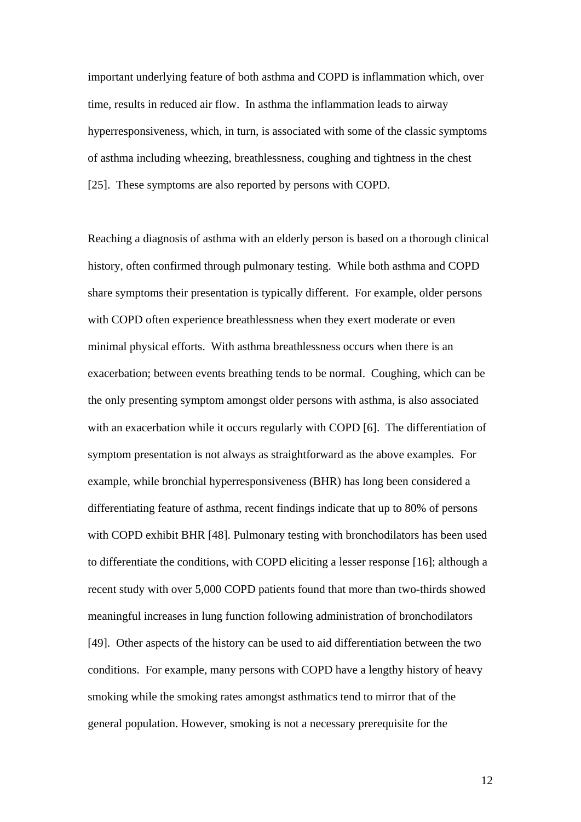important underlying feature of both asthma and COPD is inflammation which, over time, results in reduced air flow. In asthma the inflammation leads to airway hyperresponsiveness, which, in turn, is associated with some of the classic symptoms of asthma including wheezing, breathlessness, coughing and tightness in the chest [25]. These symptoms are also reported by persons with COPD.

Reaching a diagnosis of asthma with an elderly person is based on a thorough clinical history, often confirmed through pulmonary testing. While both asthma and COPD share symptoms their presentation is typically different. For example, older persons with COPD often experience breathlessness when they exert moderate or even minimal physical efforts. With asthma breathlessness occurs when there is an exacerbation; between events breathing tends to be normal. Coughing, which can be the only presenting symptom amongst older persons with asthma, is also associated with an exacerbation while it occurs regularly with COPD [6]. The differentiation of symptom presentation is not always as straightforward as the above examples. For example, while bronchial hyperresponsiveness (BHR) has long been considered a differentiating feature of asthma, recent findings indicate that up to 80% of persons with COPD exhibit BHR [48]. Pulmonary testing with bronchodilators has been used to differentiate the conditions, with COPD eliciting a lesser response [16]; although a recent study with over 5,000 COPD patients found that more than two-thirds showed meaningful increases in lung function following administration of bronchodilators [49]. Other aspects of the history can be used to aid differentiation between the two conditions. For example, many persons with COPD have a lengthy history of heavy smoking while the smoking rates amongst asthmatics tend to mirror that of the general population. However, smoking is not a necessary prerequisite for the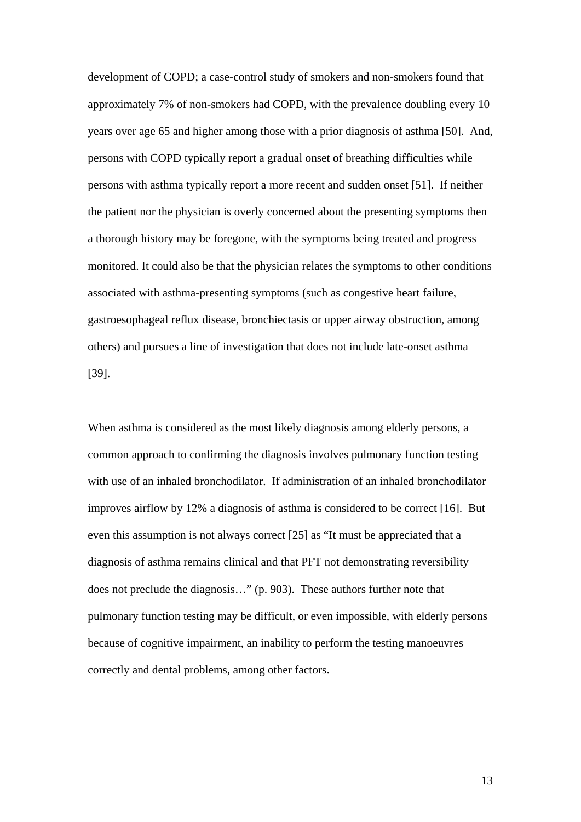development of COPD; a case-control study of smokers and non-smokers found that approximately 7% of non-smokers had COPD, with the prevalence doubling every 10 years over age 65 and higher among those with a prior diagnosis of asthma [50]. And, persons with COPD typically report a gradual onset of breathing difficulties while persons with asthma typically report a more recent and sudden onset [51]. If neither the patient nor the physician is overly concerned about the presenting symptoms then a thorough history may be foregone, with the symptoms being treated and progress monitored. It could also be that the physician relates the symptoms to other conditions associated with asthma-presenting symptoms (such as congestive heart failure, gastroesophageal reflux disease, bronchiectasis or upper airway obstruction, among others) and pursues a line of investigation that does not include late-onset asthma [39].

When asthma is considered as the most likely diagnosis among elderly persons, a common approach to confirming the diagnosis involves pulmonary function testing with use of an inhaled bronchodilator. If administration of an inhaled bronchodilator improves airflow by 12% a diagnosis of asthma is considered to be correct [16]. But even this assumption is not always correct [25] as "It must be appreciated that a diagnosis of asthma remains clinical and that PFT not demonstrating reversibility does not preclude the diagnosis…" (p. 903). These authors further note that pulmonary function testing may be difficult, or even impossible, with elderly persons because of cognitive impairment, an inability to perform the testing manoeuvres correctly and dental problems, among other factors.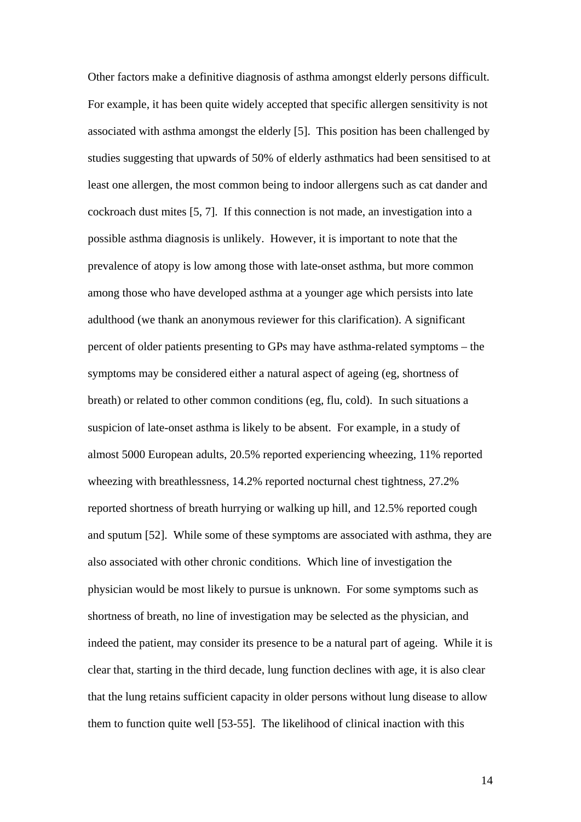Other factors make a definitive diagnosis of asthma amongst elderly persons difficult. For example, it has been quite widely accepted that specific allergen sensitivity is not associated with asthma amongst the elderly [5]. This position has been challenged by studies suggesting that upwards of 50% of elderly asthmatics had been sensitised to at least one allergen, the most common being to indoor allergens such as cat dander and cockroach dust mites [5, 7]. If this connection is not made, an investigation into a possible asthma diagnosis is unlikely. However, it is important to note that the prevalence of atopy is low among those with late-onset asthma, but more common among those who have developed asthma at a younger age which persists into late adulthood (we thank an anonymous reviewer for this clarification). A significant percent of older patients presenting to GPs may have asthma-related symptoms – the symptoms may be considered either a natural aspect of ageing (eg, shortness of breath) or related to other common conditions (eg, flu, cold). In such situations a suspicion of late-onset asthma is likely to be absent. For example, in a study of almost 5000 European adults, 20.5% reported experiencing wheezing, 11% reported wheezing with breathlessness, 14.2% reported nocturnal chest tightness, 27.2% reported shortness of breath hurrying or walking up hill, and 12.5% reported cough and sputum [52]. While some of these symptoms are associated with asthma, they are also associated with other chronic conditions. Which line of investigation the physician would be most likely to pursue is unknown. For some symptoms such as shortness of breath, no line of investigation may be selected as the physician, and indeed the patient, may consider its presence to be a natural part of ageing. While it is clear that, starting in the third decade, lung function declines with age, it is also clear that the lung retains sufficient capacity in older persons without lung disease to allow them to function quite well [53-55]. The likelihood of clinical inaction with this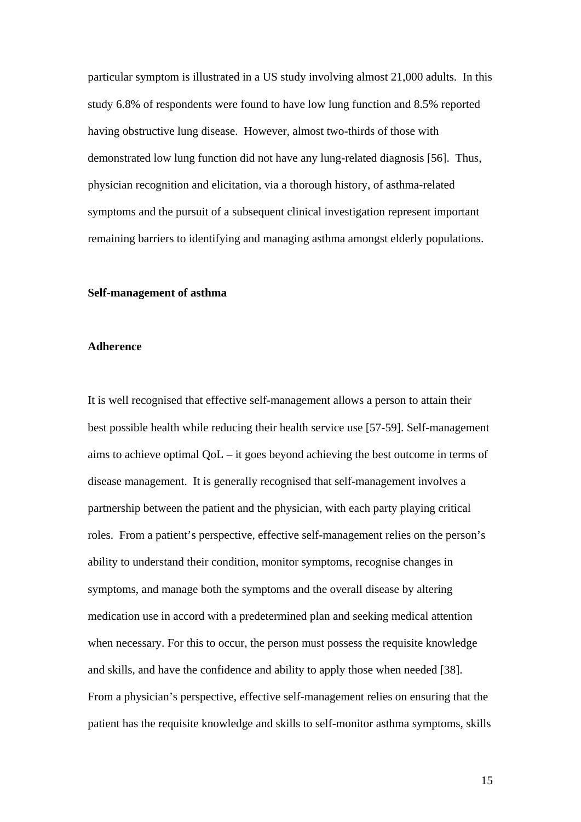particular symptom is illustrated in a US study involving almost 21,000 adults. In this study 6.8% of respondents were found to have low lung function and 8.5% reported having obstructive lung disease. However, almost two-thirds of those with demonstrated low lung function did not have any lung-related diagnosis [56]. Thus, physician recognition and elicitation, via a thorough history, of asthma-related symptoms and the pursuit of a subsequent clinical investigation represent important remaining barriers to identifying and managing asthma amongst elderly populations.

#### **Self-management of asthma**

# **Adherence**

It is well recognised that effective self-management allows a person to attain their best possible health while reducing their health service use [57-59]. Self-management aims to achieve optimal QoL – it goes beyond achieving the best outcome in terms of disease management. It is generally recognised that self-management involves a partnership between the patient and the physician, with each party playing critical roles. From a patient's perspective, effective self-management relies on the person's ability to understand their condition, monitor symptoms, recognise changes in symptoms, and manage both the symptoms and the overall disease by altering medication use in accord with a predetermined plan and seeking medical attention when necessary. For this to occur, the person must possess the requisite knowledge and skills, and have the confidence and ability to apply those when needed [38]. From a physician's perspective, effective self-management relies on ensuring that the patient has the requisite knowledge and skills to self-monitor asthma symptoms, skills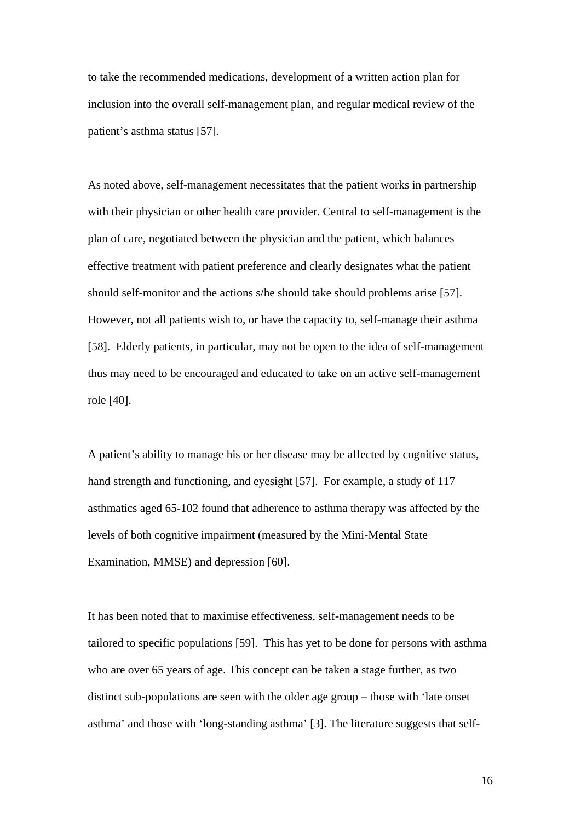to take the recommended medications, development of a written action plan for inclusion into the overall self-management plan, and regular medical review of the patient's asthma status [57].

As noted above, self-management necessitates that the patient works in partnership with their physician or other health care provider. Central to self-management is the plan of care, negotiated between the physician and the patient, which balances effective treatment with patient preference and clearly designates what the patient should self-monitor and the actions s/he should take should problems arise [57]. However, not all patients wish to, or have the capacity to, self-manage their asthma [58]. Elderly patients, in particular, may not be open to the idea of self-management thus may need to be encouraged and educated to take on an active self-management role [40].

A patient's ability to manage his or her disease may be affected by cognitive status, hand strength and functioning, and eyesight [57]. For example, a study of 117 asthmatics aged 65-102 found that adherence to asthma therapy was affected by the levels of both cognitive impairment (measured by the Mini-Mental State Examination, MMSE) and depression [60].

It has been noted that to maximise effectiveness, self-management needs to be tailored to specific populations [59]. This has yet to be done for persons with asthma who are over 65 years of age. This concept can be taken a stage further, as two distinct sub-populations are seen with the older age group – those with 'late onset asthma' and those with 'long-standing asthma' [3]. The literature suggests that self-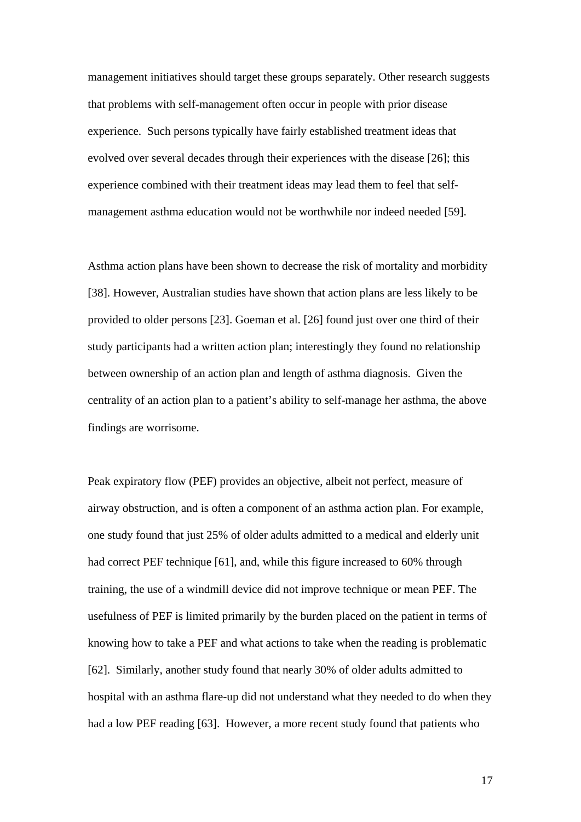management initiatives should target these groups separately. Other research suggests that problems with self-management often occur in people with prior disease experience. Such persons typically have fairly established treatment ideas that evolved over several decades through their experiences with the disease [26]; this experience combined with their treatment ideas may lead them to feel that selfmanagement asthma education would not be worthwhile nor indeed needed [59].

Asthma action plans have been shown to decrease the risk of mortality and morbidity [38]. However, Australian studies have shown that action plans are less likely to be provided to older persons [23]. Goeman et al. [26] found just over one third of their study participants had a written action plan; interestingly they found no relationship between ownership of an action plan and length of asthma diagnosis. Given the centrality of an action plan to a patient's ability to self-manage her asthma, the above findings are worrisome.

Peak expiratory flow (PEF) provides an objective, albeit not perfect, measure of airway obstruction, and is often a component of an asthma action plan. For example, one study found that just 25% of older adults admitted to a medical and elderly unit had correct PEF technique [61], and, while this figure increased to 60% through training, the use of a windmill device did not improve technique or mean PEF. The usefulness of PEF is limited primarily by the burden placed on the patient in terms of knowing how to take a PEF and what actions to take when the reading is problematic [62]. Similarly, another study found that nearly 30% of older adults admitted to hospital with an asthma flare-up did not understand what they needed to do when they had a low PEF reading [63]. However, a more recent study found that patients who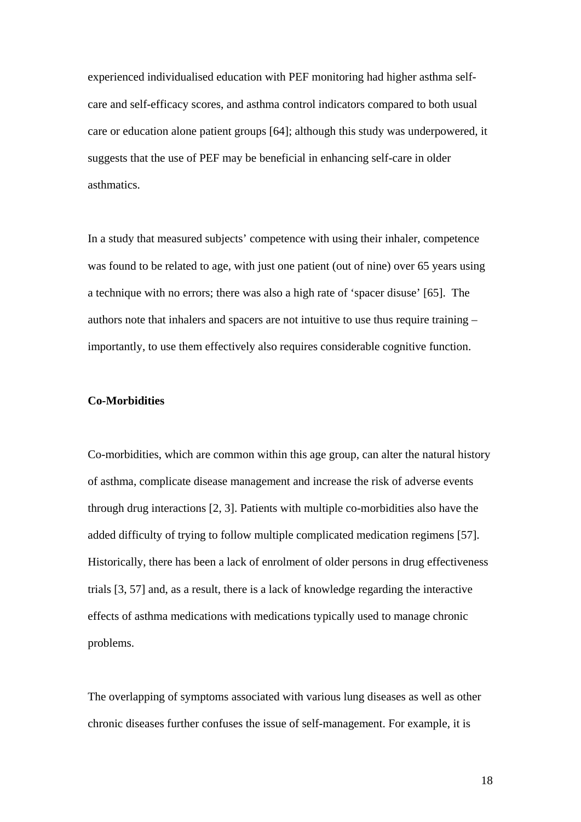experienced individualised education with PEF monitoring had higher asthma selfcare and self-efficacy scores, and asthma control indicators compared to both usual care or education alone patient groups [64]; although this study was underpowered, it suggests that the use of PEF may be beneficial in enhancing self-care in older asthmatics.

In a study that measured subjects' competence with using their inhaler, competence was found to be related to age, with just one patient (out of nine) over 65 years using a technique with no errors; there was also a high rate of 'spacer disuse' [65]. The authors note that inhalers and spacers are not intuitive to use thus require training – importantly, to use them effectively also requires considerable cognitive function.

# **Co-Morbidities**

Co-morbidities, which are common within this age group, can alter the natural history of asthma, complicate disease management and increase the risk of adverse events through drug interactions [2, 3]. Patients with multiple co-morbidities also have the added difficulty of trying to follow multiple complicated medication regimens [57]. Historically, there has been a lack of enrolment of older persons in drug effectiveness trials [3, 57] and, as a result, there is a lack of knowledge regarding the interactive effects of asthma medications with medications typically used to manage chronic problems.

The overlapping of symptoms associated with various lung diseases as well as other chronic diseases further confuses the issue of self-management. For example, it is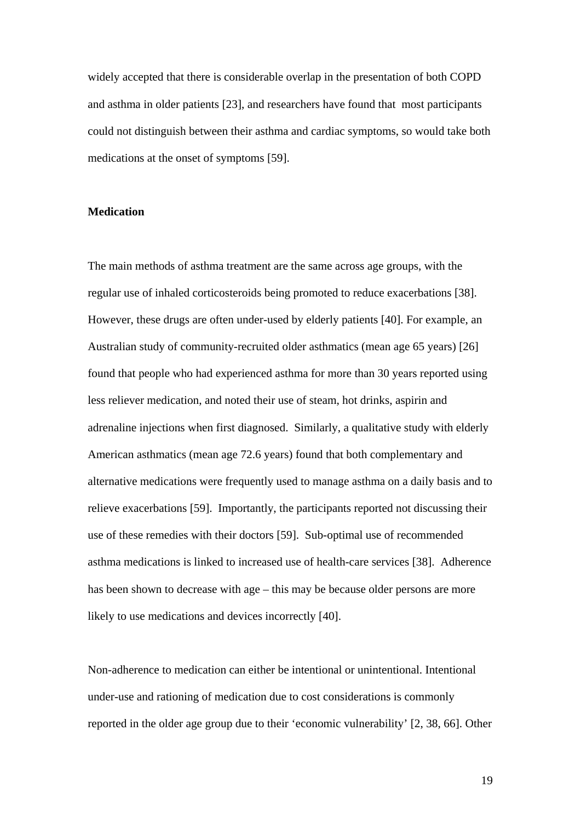widely accepted that there is considerable overlap in the presentation of both COPD and asthma in older patients [23], and researchers have found that most participants could not distinguish between their asthma and cardiac symptoms, so would take both medications at the onset of symptoms [59].

#### **Medication**

The main methods of asthma treatment are the same across age groups, with the regular use of inhaled corticosteroids being promoted to reduce exacerbations [38]. However, these drugs are often under-used by elderly patients [40]. For example, an Australian study of community-recruited older asthmatics (mean age 65 years) [26] found that people who had experienced asthma for more than 30 years reported using less reliever medication, and noted their use of steam, hot drinks, aspirin and adrenaline injections when first diagnosed. Similarly, a qualitative study with elderly American asthmatics (mean age 72.6 years) found that both complementary and alternative medications were frequently used to manage asthma on a daily basis and to relieve exacerbations [59]. Importantly, the participants reported not discussing their use of these remedies with their doctors [59]. Sub-optimal use of recommended asthma medications is linked to increased use of health-care services [38]. Adherence has been shown to decrease with age – this may be because older persons are more likely to use medications and devices incorrectly [40].

Non-adherence to medication can either be intentional or unintentional. Intentional under-use and rationing of medication due to cost considerations is commonly reported in the older age group due to their 'economic vulnerability' [2, 38, 66]. Other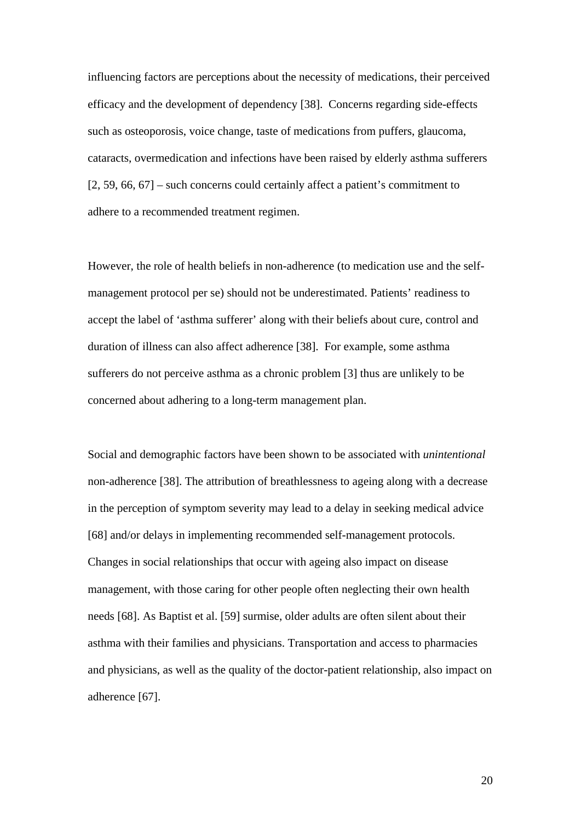influencing factors are perceptions about the necessity of medications, their perceived efficacy and the development of dependency [38]. Concerns regarding side-effects such as osteoporosis, voice change, taste of medications from puffers, glaucoma, cataracts, overmedication and infections have been raised by elderly asthma sufferers [2, 59, 66, 67] – such concerns could certainly affect a patient's commitment to adhere to a recommended treatment regimen.

However, the role of health beliefs in non-adherence (to medication use and the selfmanagement protocol per se) should not be underestimated. Patients' readiness to accept the label of 'asthma sufferer' along with their beliefs about cure, control and duration of illness can also affect adherence [38]. For example, some asthma sufferers do not perceive asthma as a chronic problem [3] thus are unlikely to be concerned about adhering to a long-term management plan.

Social and demographic factors have been shown to be associated with *unintentional* non-adherence [38]. The attribution of breathlessness to ageing along with a decrease in the perception of symptom severity may lead to a delay in seeking medical advice [68] and/or delays in implementing recommended self-management protocols. Changes in social relationships that occur with ageing also impact on disease management, with those caring for other people often neglecting their own health needs [68]. As Baptist et al. [59] surmise, older adults are often silent about their asthma with their families and physicians. Transportation and access to pharmacies and physicians, as well as the quality of the doctor-patient relationship, also impact on adherence [67].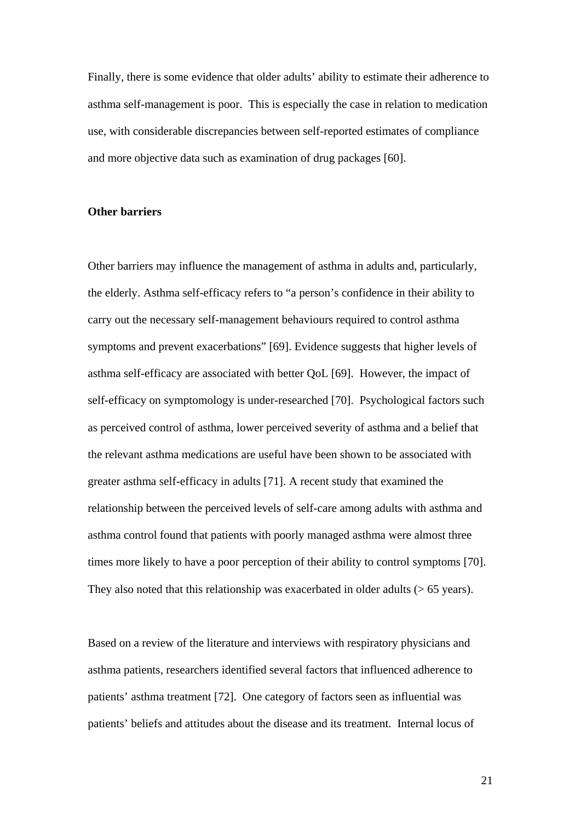Finally, there is some evidence that older adults' ability to estimate their adherence to asthma self-management is poor. This is especially the case in relation to medication use, with considerable discrepancies between self-reported estimates of compliance and more objective data such as examination of drug packages [60].

# **Other barriers**

Other barriers may influence the management of asthma in adults and, particularly, the elderly. Asthma self-efficacy refers to "a person's confidence in their ability to carry out the necessary self-management behaviours required to control asthma symptoms and prevent exacerbations" [69]. Evidence suggests that higher levels of asthma self-efficacy are associated with better QoL [69]. However, the impact of self-efficacy on symptomology is under-researched [70]. Psychological factors such as perceived control of asthma, lower perceived severity of asthma and a belief that the relevant asthma medications are useful have been shown to be associated with greater asthma self-efficacy in adults [71]. A recent study that examined the relationship between the perceived levels of self-care among adults with asthma and asthma control found that patients with poorly managed asthma were almost three times more likely to have a poor perception of their ability to control symptoms [70]. They also noted that this relationship was exacerbated in older adults (> 65 years).

Based on a review of the literature and interviews with respiratory physicians and asthma patients, researchers identified several factors that influenced adherence to patients' asthma treatment [72]. One category of factors seen as influential was patients' beliefs and attitudes about the disease and its treatment. Internal locus of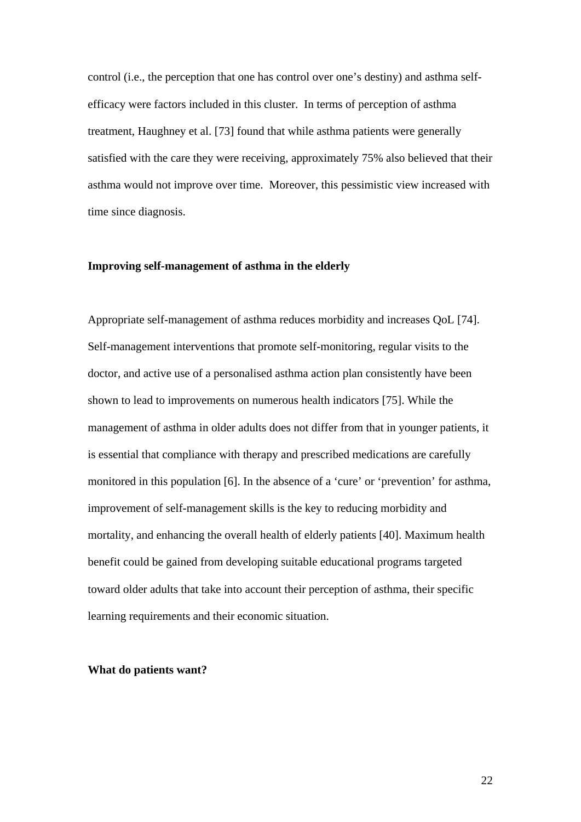control (i.e., the perception that one has control over one's destiny) and asthma selfefficacy were factors included in this cluster. In terms of perception of asthma treatment, Haughney et al. [73] found that while asthma patients were generally satisfied with the care they were receiving, approximately 75% also believed that their asthma would not improve over time. Moreover, this pessimistic view increased with time since diagnosis.

#### **Improving self-management of asthma in the elderly**

Appropriate self-management of asthma reduces morbidity and increases QoL [74]. Self-management interventions that promote self-monitoring, regular visits to the doctor, and active use of a personalised asthma action plan consistently have been shown to lead to improvements on numerous health indicators [75]. While the management of asthma in older adults does not differ from that in younger patients, it is essential that compliance with therapy and prescribed medications are carefully monitored in this population [6]. In the absence of a 'cure' or 'prevention' for asthma, improvement of self-management skills is the key to reducing morbidity and mortality, and enhancing the overall health of elderly patients [40]. Maximum health benefit could be gained from developing suitable educational programs targeted toward older adults that take into account their perception of asthma, their specific learning requirements and their economic situation.

## **What do patients want?**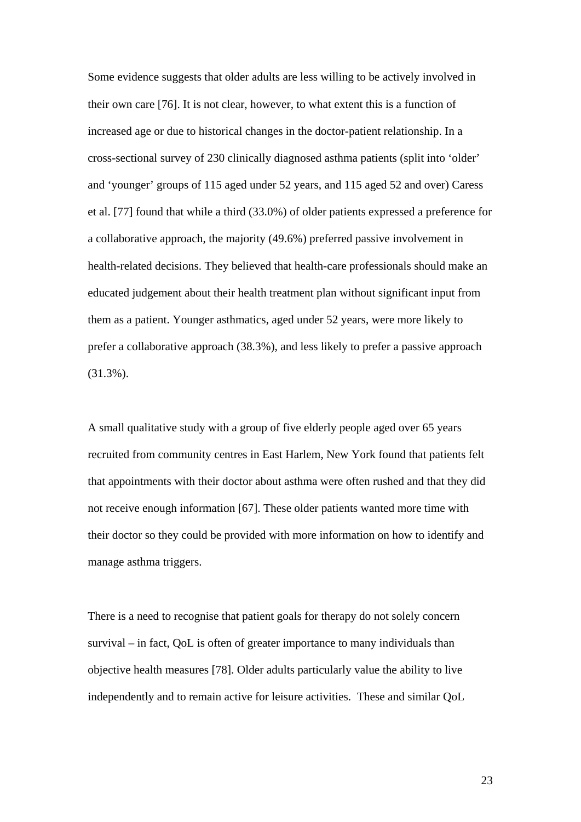Some evidence suggests that older adults are less willing to be actively involved in their own care [76]. It is not clear, however, to what extent this is a function of increased age or due to historical changes in the doctor-patient relationship. In a cross-sectional survey of 230 clinically diagnosed asthma patients (split into 'older' and 'younger' groups of 115 aged under 52 years, and 115 aged 52 and over) Caress et al. [77] found that while a third (33.0%) of older patients expressed a preference for a collaborative approach, the majority (49.6%) preferred passive involvement in health-related decisions. They believed that health-care professionals should make an educated judgement about their health treatment plan without significant input from them as a patient. Younger asthmatics, aged under 52 years, were more likely to prefer a collaborative approach (38.3%), and less likely to prefer a passive approach (31.3%).

A small qualitative study with a group of five elderly people aged over 65 years recruited from community centres in East Harlem, New York found that patients felt that appointments with their doctor about asthma were often rushed and that they did not receive enough information [67]. These older patients wanted more time with their doctor so they could be provided with more information on how to identify and manage asthma triggers.

There is a need to recognise that patient goals for therapy do not solely concern survival – in fact, QoL is often of greater importance to many individuals than objective health measures [78]. Older adults particularly value the ability to live independently and to remain active for leisure activities. These and similar QoL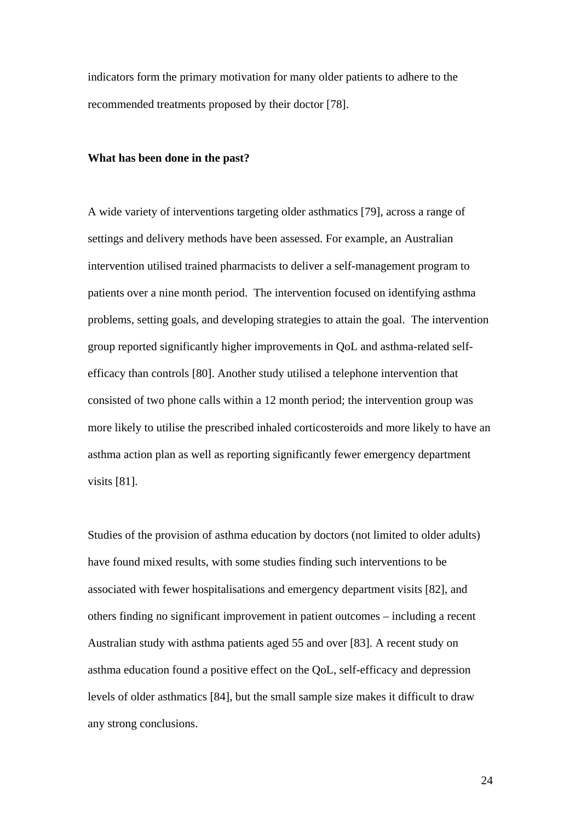indicators form the primary motivation for many older patients to adhere to the recommended treatments proposed by their doctor [78].

#### **What has been done in the past?**

A wide variety of interventions targeting older asthmatics [79], across a range of settings and delivery methods have been assessed. For example, an Australian intervention utilised trained pharmacists to deliver a self-management program to patients over a nine month period. The intervention focused on identifying asthma problems, setting goals, and developing strategies to attain the goal. The intervention group reported significantly higher improvements in QoL and asthma-related selfefficacy than controls [80]. Another study utilised a telephone intervention that consisted of two phone calls within a 12 month period; the intervention group was more likely to utilise the prescribed inhaled corticosteroids and more likely to have an asthma action plan as well as reporting significantly fewer emergency department visits [81].

Studies of the provision of asthma education by doctors (not limited to older adults) have found mixed results, with some studies finding such interventions to be associated with fewer hospitalisations and emergency department visits [82], and others finding no significant improvement in patient outcomes – including a recent Australian study with asthma patients aged 55 and over [83]. A recent study on asthma education found a positive effect on the QoL, self-efficacy and depression levels of older asthmatics [84], but the small sample size makes it difficult to draw any strong conclusions.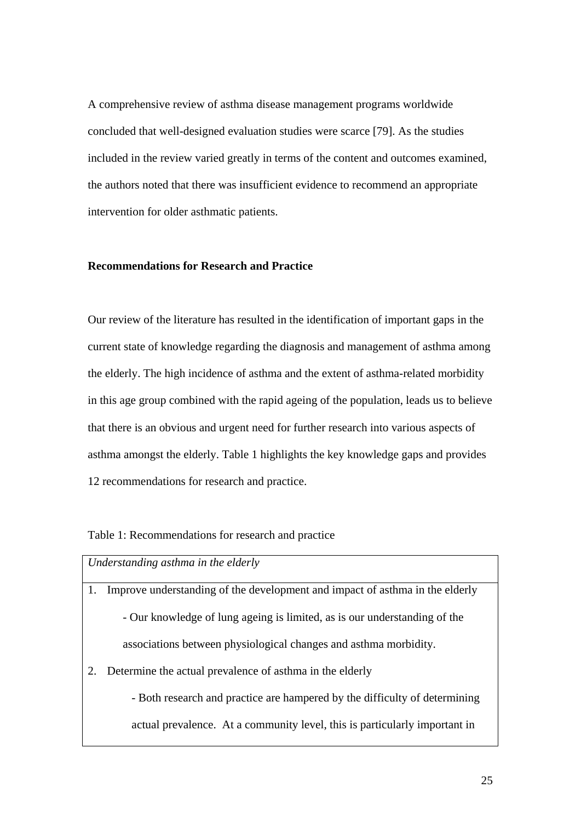A comprehensive review of asthma disease management programs worldwide concluded that well-designed evaluation studies were scarce [79]. As the studies included in the review varied greatly in terms of the content and outcomes examined, the authors noted that there was insufficient evidence to recommend an appropriate intervention for older asthmatic patients.

# **Recommendations for Research and Practice**

Our review of the literature has resulted in the identification of important gaps in the current state of knowledge regarding the diagnosis and management of asthma among the elderly. The high incidence of asthma and the extent of asthma-related morbidity in this age group combined with the rapid ageing of the population, leads us to believe that there is an obvious and urgent need for further research into various aspects of asthma amongst the elderly. Table 1 highlights the key knowledge gaps and provides 12 recommendations for research and practice.

#### Table 1: Recommendations for research and practice

| Understanding asthma in the elderly |                                                                              |
|-------------------------------------|------------------------------------------------------------------------------|
| 1.                                  | Improve understanding of the development and impact of asthma in the elderly |
|                                     | - Our knowledge of lung ageing is limited, as is our understanding of the    |
|                                     | associations between physiological changes and asthma morbidity.             |
| 2.                                  | Determine the actual prevalence of asthma in the elderly                     |
|                                     | - Both research and practice are hampered by the difficulty of determining   |
|                                     | actual prevalence. At a community level, this is particularly important in   |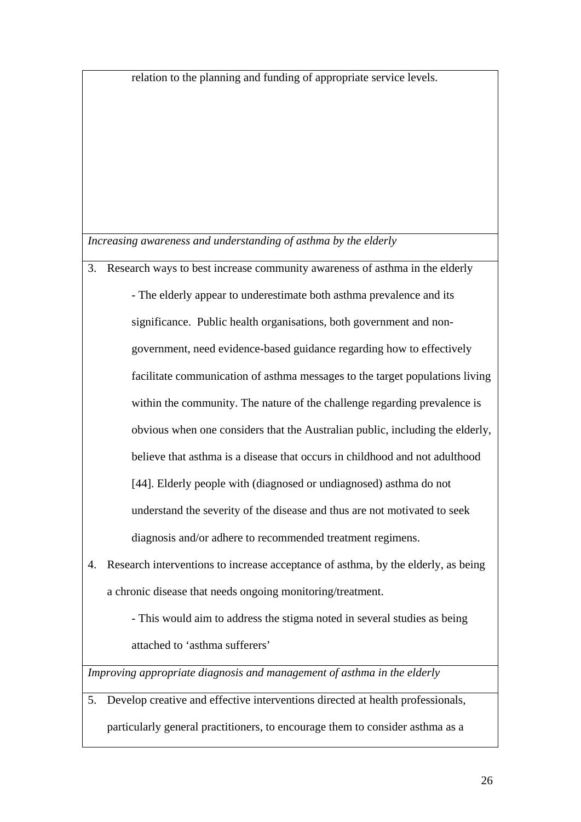relation to the planning and funding of appropriate service levels.

*Increasing awareness and understanding of asthma by the elderly*

- 3. Research ways to best increase community awareness of asthma in the elderly - The elderly appear to underestimate both asthma prevalence and its significance. Public health organisations, both government and nongovernment, need evidence-based guidance regarding how to effectively facilitate communication of asthma messages to the target populations living within the community. The nature of the challenge regarding prevalence is obvious when one considers that the Australian public, including the elderly, believe that asthma is a disease that occurs in childhood and not adulthood [44]. Elderly people with (diagnosed or undiagnosed) asthma do not understand the severity of the disease and thus are not motivated to seek diagnosis and/or adhere to recommended treatment regimens.
- 4. Research interventions to increase acceptance of asthma, by the elderly, as being a chronic disease that needs ongoing monitoring/treatment.

- This would aim to address the stigma noted in several studies as being attached to 'asthma sufferers'

*Improving appropriate diagnosis and management of asthma in the elderly*

5. Develop creative and effective interventions directed at health professionals, particularly general practitioners, to encourage them to consider asthma as a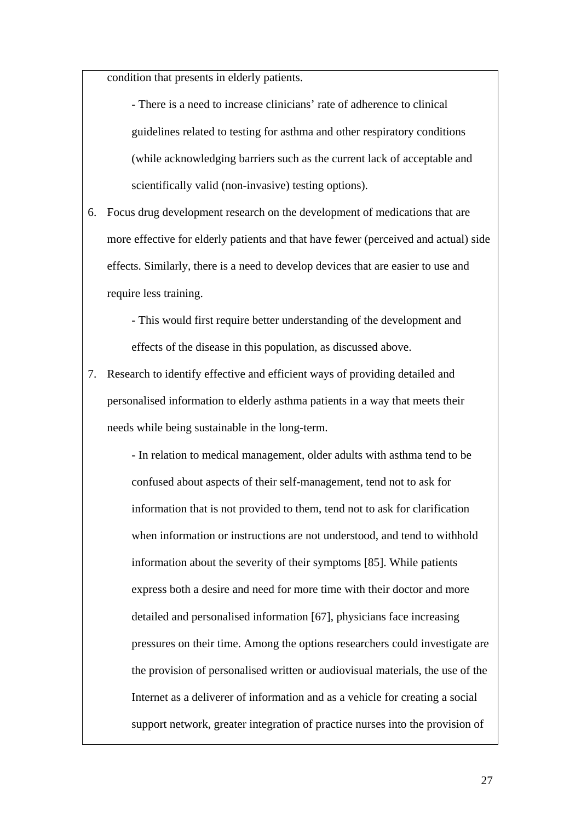condition that presents in elderly patients.

- There is a need to increase clinicians' rate of adherence to clinical guidelines related to testing for asthma and other respiratory conditions (while acknowledging barriers such as the current lack of acceptable and scientifically valid (non-invasive) testing options).

6. Focus drug development research on the development of medications that are more effective for elderly patients and that have fewer (perceived and actual) side effects. Similarly, there is a need to develop devices that are easier to use and require less training.

> - This would first require better understanding of the development and effects of the disease in this population, as discussed above.

7. Research to identify effective and efficient ways of providing detailed and personalised information to elderly asthma patients in a way that meets their needs while being sustainable in the long-term.

> - In relation to medical management, older adults with asthma tend to be confused about aspects of their self-management, tend not to ask for information that is not provided to them, tend not to ask for clarification when information or instructions are not understood, and tend to withhold information about the severity of their symptoms [85]. While patients express both a desire and need for more time with their doctor and more detailed and personalised information [67], physicians face increasing pressures on their time. Among the options researchers could investigate are the provision of personalised written or audiovisual materials, the use of the Internet as a deliverer of information and as a vehicle for creating a social support network, greater integration of practice nurses into the provision of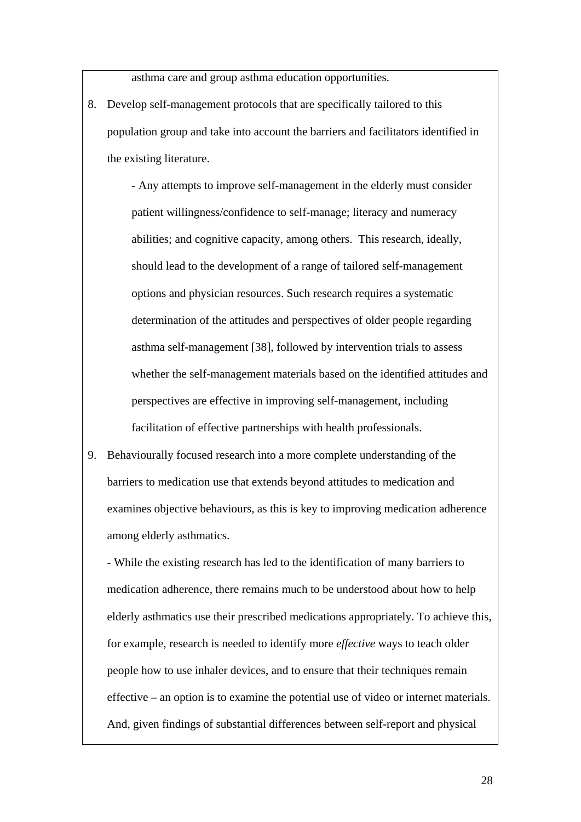asthma care and group asthma education opportunities.

8. Develop self-management protocols that are specifically tailored to this population group and take into account the barriers and facilitators identified in the existing literature.

> - Any attempts to improve self-management in the elderly must consider patient willingness/confidence to self-manage; literacy and numeracy abilities; and cognitive capacity, among others. This research, ideally, should lead to the development of a range of tailored self-management options and physician resources. Such research requires a systematic determination of the attitudes and perspectives of older people regarding asthma self-management [38], followed by intervention trials to assess whether the self-management materials based on the identified attitudes and perspectives are effective in improving self-management, including facilitation of effective partnerships with health professionals.

9. Behaviourally focused research into a more complete understanding of the barriers to medication use that extends beyond attitudes to medication and examines objective behaviours, as this is key to improving medication adherence among elderly asthmatics.

- While the existing research has led to the identification of many barriers to medication adherence, there remains much to be understood about how to help elderly asthmatics use their prescribed medications appropriately. To achieve this, for example, research is needed to identify more *effective* ways to teach older people how to use inhaler devices, and to ensure that their techniques remain effective – an option is to examine the potential use of video or internet materials. And, given findings of substantial differences between self-report and physical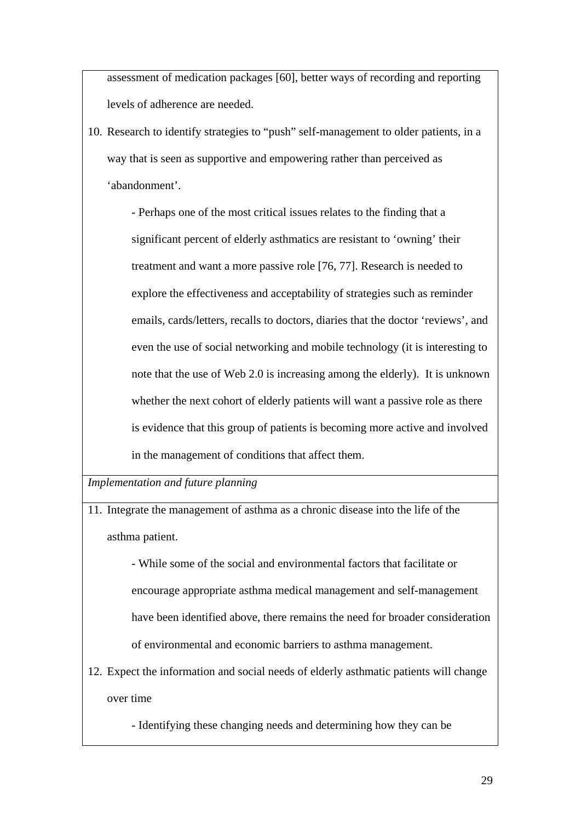assessment of medication packages [60], better ways of recording and reporting levels of adherence are needed.

10. Research to identify strategies to "push" self-management to older patients, in a way that is seen as supportive and empowering rather than perceived as 'abandonment'.

> - Perhaps one of the most critical issues relates to the finding that a significant percent of elderly asthmatics are resistant to 'owning' their treatment and want a more passive role [76, 77]. Research is needed to explore the effectiveness and acceptability of strategies such as reminder emails, cards/letters, recalls to doctors, diaries that the doctor 'reviews', and even the use of social networking and mobile technology (it is interesting to note that the use of Web 2.0 is increasing among the elderly). It is unknown whether the next cohort of elderly patients will want a passive role as there is evidence that this group of patients is becoming more active and involved in the management of conditions that affect them.

*Implementation and future planning* 

11. Integrate the management of asthma as a chronic disease into the life of the asthma patient.

> - While some of the social and environmental factors that facilitate or encourage appropriate asthma medical management and self-management have been identified above, there remains the need for broader consideration of environmental and economic barriers to asthma management.

12. Expect the information and social needs of elderly asthmatic patients will change over time

- Identifying these changing needs and determining how they can be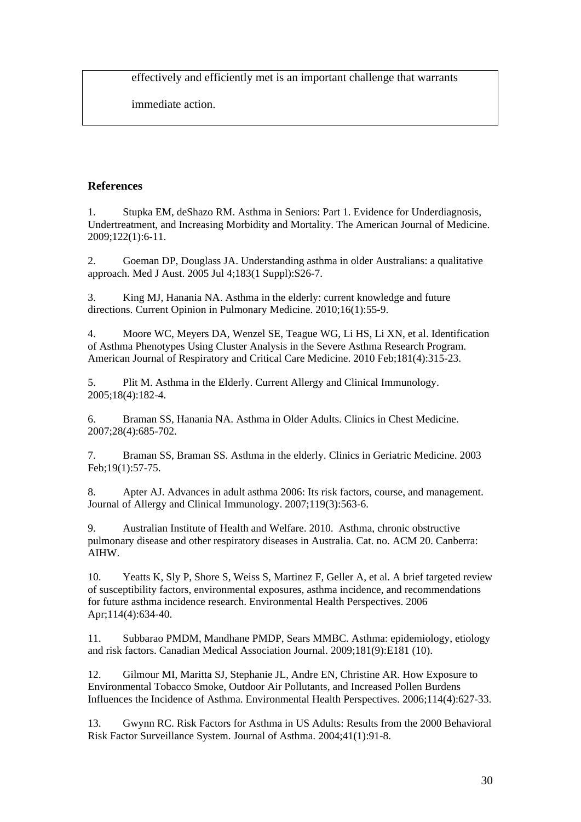effectively and efficiently met is an important challenge that warrants

immediate action.

# **References**

1. Stupka EM, deShazo RM. Asthma in Seniors: Part 1. Evidence for Underdiagnosis, Undertreatment, and Increasing Morbidity and Mortality. The American Journal of Medicine. 2009;122(1):6-11.

2. Goeman DP, Douglass JA. Understanding asthma in older Australians: a qualitative approach. Med J Aust. 2005 Jul 4;183(1 Suppl):S26-7.

3. King MJ, Hanania NA. Asthma in the elderly: current knowledge and future directions. Current Opinion in Pulmonary Medicine. 2010;16(1):55-9.

4. Moore WC, Meyers DA, Wenzel SE, Teague WG, Li HS, Li XN, et al. Identification of Asthma Phenotypes Using Cluster Analysis in the Severe Asthma Research Program. American Journal of Respiratory and Critical Care Medicine. 2010 Feb;181(4):315-23.

5. Plit M. Asthma in the Elderly. Current Allergy and Clinical Immunology. 2005;18(4):182-4.

6. Braman SS, Hanania NA. Asthma in Older Adults. Clinics in Chest Medicine. 2007;28(4):685-702.

7. Braman SS, Braman SS. Asthma in the elderly. Clinics in Geriatric Medicine. 2003 Feb;19(1):57-75.

8. Apter AJ. Advances in adult asthma 2006: Its risk factors, course, and management. Journal of Allergy and Clinical Immunology. 2007;119(3):563-6.

9. Australian Institute of Health and Welfare. 2010. Asthma, chronic obstructive pulmonary disease and other respiratory diseases in Australia. Cat. no. ACM 20. Canberra: AIHW.

10. Yeatts K, Sly P, Shore S, Weiss S, Martinez F, Geller A, et al. A brief targeted review of susceptibility factors, environmental exposures, asthma incidence, and recommendations for future asthma incidence research. Environmental Health Perspectives. 2006 Apr;114(4):634-40.

11. Subbarao PMDM, Mandhane PMDP, Sears MMBC. Asthma: epidemiology, etiology and risk factors. Canadian Medical Association Journal. 2009;181(9):E181 (10).

12. Gilmour MI, Maritta SJ, Stephanie JL, Andre EN, Christine AR. How Exposure to Environmental Tobacco Smoke, Outdoor Air Pollutants, and Increased Pollen Burdens Influences the Incidence of Asthma. Environmental Health Perspectives. 2006;114(4):627-33.

13. Gwynn RC. Risk Factors for Asthma in US Adults: Results from the 2000 Behavioral Risk Factor Surveillance System. Journal of Asthma. 2004;41(1):91-8.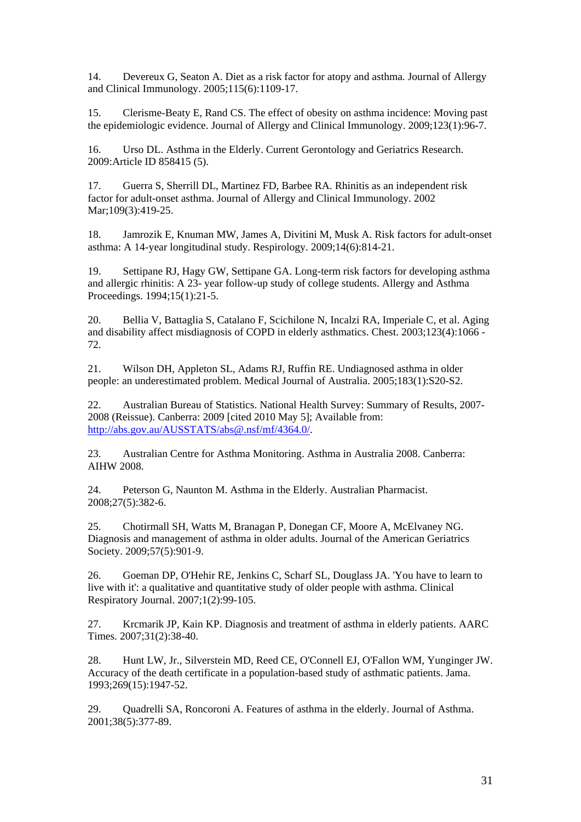14. Devereux G, Seaton A. Diet as a risk factor for atopy and asthma. Journal of Allergy and Clinical Immunology. 2005;115(6):1109-17.

15. Clerisme-Beaty E, Rand CS. The effect of obesity on asthma incidence: Moving past the epidemiologic evidence. Journal of Allergy and Clinical Immunology. 2009;123(1):96-7.

16. Urso DL. Asthma in the Elderly. Current Gerontology and Geriatrics Research. 2009:Article ID 858415 (5).

17. Guerra S, Sherrill DL, Martinez FD, Barbee RA. Rhinitis as an independent risk factor for adult-onset asthma. Journal of Allergy and Clinical Immunology. 2002 Mar:109(3):419-25.

18. Jamrozik E, Knuman MW, James A, Divitini M, Musk A. Risk factors for adult-onset asthma: A 14-year longitudinal study. Respirology. 2009;14(6):814-21.

19. Settipane RJ, Hagy GW, Settipane GA. Long-term risk factors for developing asthma and allergic rhinitis: A 23- year follow-up study of college students. Allergy and Asthma Proceedings. 1994;15(1):21-5.

20. Bellia V, Battaglia S, Catalano F, Scichilone N, Incalzi RA, Imperiale C, et al. Aging and disability affect misdiagnosis of COPD in elderly asthmatics. Chest. 2003;123(4):1066 - 72.

21. Wilson DH, Appleton SL, Adams RJ, Ruffin RE. Undiagnosed asthma in older people: an underestimated problem. Medical Journal of Australia. 2005;183(1):S20-S2.

22. Australian Bureau of Statistics. National Health Survey: Summary of Results, 2007- 2008 (Reissue). Canberra: 2009 [cited 2010 May 5]; Available from: http://abs.gov.au/AUSSTATS/abs@.nsf/mf/4364.0/.

23. Australian Centre for Asthma Monitoring. Asthma in Australia 2008. Canberra: AIHW 2008.

24. Peterson G, Naunton M. Asthma in the Elderly. Australian Pharmacist. 2008;27(5):382-6.

25. Chotirmall SH, Watts M, Branagan P, Donegan CF, Moore A, McElvaney NG. Diagnosis and management of asthma in older adults. Journal of the American Geriatrics Society. 2009;57(5):901-9.

26. Goeman DP, O'Hehir RE, Jenkins C, Scharf SL, Douglass JA. 'You have to learn to live with it': a qualitative and quantitative study of older people with asthma. Clinical Respiratory Journal. 2007;1(2):99-105.

27. Krcmarik JP, Kain KP. Diagnosis and treatment of asthma in elderly patients. AARC Times. 2007;31(2):38-40.

28. Hunt LW, Jr., Silverstein MD, Reed CE, O'Connell EJ, O'Fallon WM, Yunginger JW. Accuracy of the death certificate in a population-based study of asthmatic patients. Jama. 1993;269(15):1947-52.

29. Quadrelli SA, Roncoroni A. Features of asthma in the elderly. Journal of Asthma. 2001;38(5):377-89.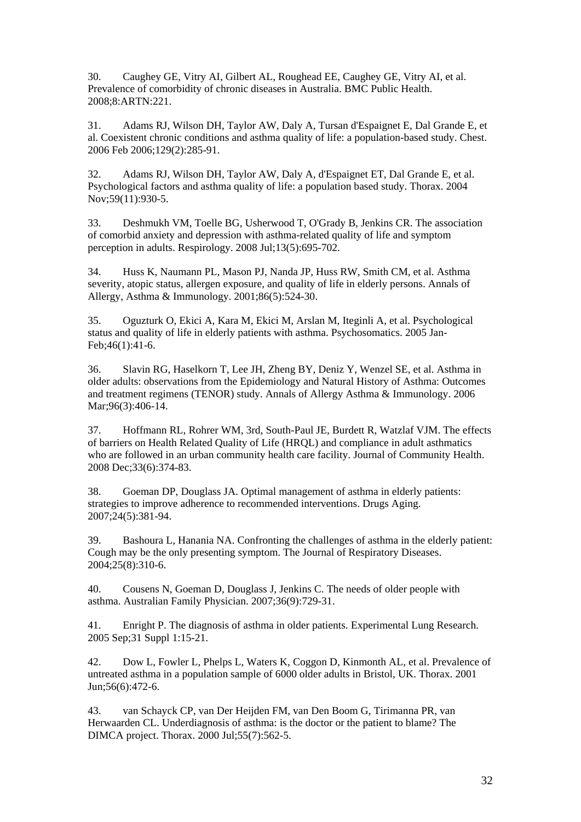30. Caughey GE, Vitry AI, Gilbert AL, Roughead EE, Caughey GE, Vitry AI, et al. Prevalence of comorbidity of chronic diseases in Australia. BMC Public Health. 2008;8:ARTN:221.

31. Adams RJ, Wilson DH, Taylor AW, Daly A, Tursan d'Espaignet E, Dal Grande E, et al. Coexistent chronic conditions and asthma quality of life: a population-based study. Chest. 2006 Feb 2006;129(2):285-91.

32. Adams RJ, Wilson DH, Taylor AW, Daly A, d'Espaignet ET, Dal Grande E, et al. Psychological factors and asthma quality of life: a population based study. Thorax. 2004 Nov;59(11):930-5.

33. Deshmukh VM, Toelle BG, Usherwood T, O'Grady B, Jenkins CR. The association of comorbid anxiety and depression with asthma-related quality of life and symptom perception in adults. Respirology. 2008 Jul;13(5):695-702.

34. Huss K, Naumann PL, Mason PJ, Nanda JP, Huss RW, Smith CM, et al. Asthma severity, atopic status, allergen exposure, and quality of life in elderly persons. Annals of Allergy, Asthma & Immunology. 2001;86(5):524-30.

35. Oguzturk O, Ekici A, Kara M, Ekici M, Arslan M, Iteginli A, et al. Psychological status and quality of life in elderly patients with asthma. Psychosomatics. 2005 Jan-Feb;46(1):41-6.

36. Slavin RG, Haselkorn T, Lee JH, Zheng BY, Deniz Y, Wenzel SE, et al. Asthma in older adults: observations from the Epidemiology and Natural History of Asthma: Outcomes and treatment regimens (TENOR) study. Annals of Allergy Asthma & Immunology. 2006 Mar; 96(3): 406-14.

37. Hoffmann RL, Rohrer WM, 3rd, South-Paul JE, Burdett R, Watzlaf VJM. The effects of barriers on Health Related Quality of Life (HRQL) and compliance in adult asthmatics who are followed in an urban community health care facility. Journal of Community Health. 2008 Dec;33(6):374-83.

38. Goeman DP, Douglass JA. Optimal management of asthma in elderly patients: strategies to improve adherence to recommended interventions. Drugs Aging. 2007;24(5):381-94.

39. Bashoura L, Hanania NA. Confronting the challenges of asthma in the elderly patient: Cough may be the only presenting symptom. The Journal of Respiratory Diseases. 2004;25(8):310-6.

40. Cousens N, Goeman D, Douglass J, Jenkins C. The needs of older people with asthma. Australian Family Physician. 2007;36(9):729-31.

41. Enright P. The diagnosis of asthma in older patients. Experimental Lung Research. 2005 Sep;31 Suppl 1:15-21.

42. Dow L, Fowler L, Phelps L, Waters K, Coggon D, Kinmonth AL, et al. Prevalence of untreated asthma in a population sample of 6000 older adults in Bristol, UK. Thorax. 2001 Jun;56(6):472-6.

43. van Schayck CP, van Der Heijden FM, van Den Boom G, Tirimanna PR, van Herwaarden CL. Underdiagnosis of asthma: is the doctor or the patient to blame? The DIMCA project. Thorax. 2000 Jul;55(7):562-5.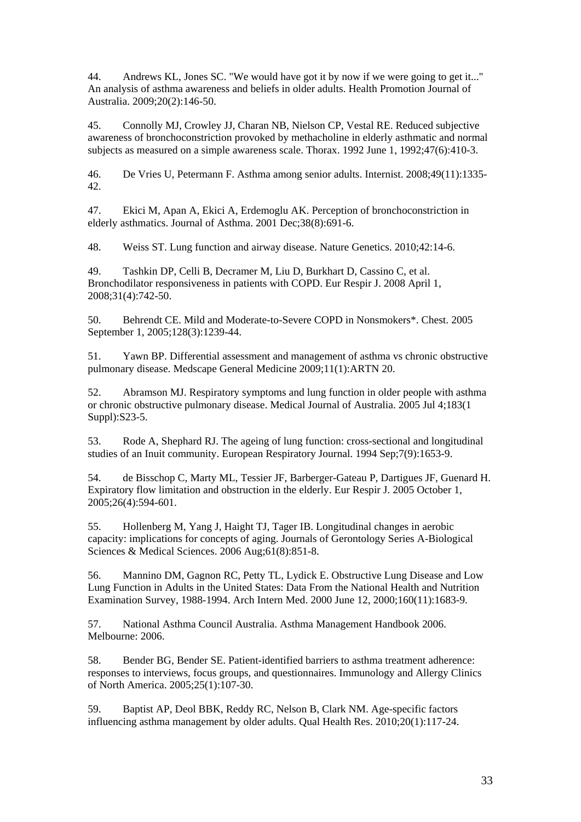44. Andrews KL, Jones SC. "We would have got it by now if we were going to get it..." An analysis of asthma awareness and beliefs in older adults. Health Promotion Journal of Australia. 2009;20(2):146-50.

45. Connolly MJ, Crowley JJ, Charan NB, Nielson CP, Vestal RE. Reduced subjective awareness of bronchoconstriction provoked by methacholine in elderly asthmatic and normal subjects as measured on a simple awareness scale. Thorax. 1992 June 1, 1992;47(6):410-3.

46. De Vries U, Petermann F. Asthma among senior adults. Internist. 2008;49(11):1335- 42.

47. Ekici M, Apan A, Ekici A, Erdemoglu AK. Perception of bronchoconstriction in elderly asthmatics. Journal of Asthma. 2001 Dec;38(8):691-6.

48. Weiss ST. Lung function and airway disease. Nature Genetics. 2010;42:14-6.

49. Tashkin DP, Celli B, Decramer M, Liu D, Burkhart D, Cassino C, et al. Bronchodilator responsiveness in patients with COPD. Eur Respir J. 2008 April 1, 2008;31(4):742-50.

50. Behrendt CE. Mild and Moderate-to-Severe COPD in Nonsmokers\*. Chest. 2005 September 1, 2005;128(3):1239-44.

51. Yawn BP. Differential assessment and management of asthma vs chronic obstructive pulmonary disease. Medscape General Medicine 2009;11(1):ARTN 20.

52. Abramson MJ. Respiratory symptoms and lung function in older people with asthma or chronic obstructive pulmonary disease. Medical Journal of Australia. 2005 Jul 4;183(1 Suppl):S23-5.

53. Rode A, Shephard RJ. The ageing of lung function: cross-sectional and longitudinal studies of an Inuit community. European Respiratory Journal. 1994 Sep;7(9):1653-9.

54. de Bisschop C, Marty ML, Tessier JF, Barberger-Gateau P, Dartigues JF, Guenard H. Expiratory flow limitation and obstruction in the elderly. Eur Respir J. 2005 October 1, 2005;26(4):594-601.

55. Hollenberg M, Yang J, Haight TJ, Tager IB. Longitudinal changes in aerobic capacity: implications for concepts of aging. Journals of Gerontology Series A-Biological Sciences & Medical Sciences. 2006 Aug;61(8):851-8.

56. Mannino DM, Gagnon RC, Petty TL, Lydick E. Obstructive Lung Disease and Low Lung Function in Adults in the United States: Data From the National Health and Nutrition Examination Survey, 1988-1994. Arch Intern Med. 2000 June 12, 2000;160(11):1683-9.

57. National Asthma Council Australia. Asthma Management Handbook 2006. Melbourne: 2006.

58. Bender BG, Bender SE. Patient-identified barriers to asthma treatment adherence: responses to interviews, focus groups, and questionnaires. Immunology and Allergy Clinics of North America. 2005;25(1):107-30.

59. Baptist AP, Deol BBK, Reddy RC, Nelson B, Clark NM. Age-specific factors influencing asthma management by older adults. Qual Health Res. 2010;20(1):117-24.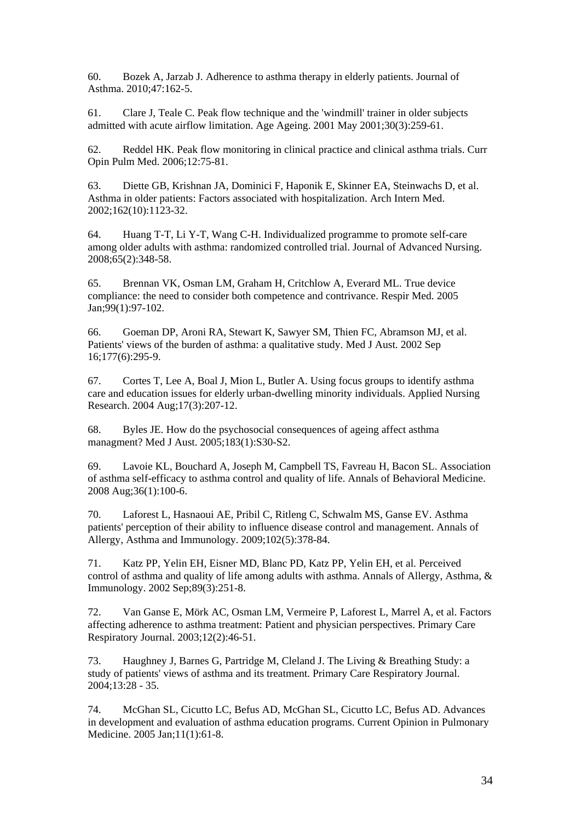60. Bozek A, Jarzab J. Adherence to asthma therapy in elderly patients. Journal of Asthma. 2010;47:162-5.

61. Clare J, Teale C. Peak flow technique and the 'windmill' trainer in older subjects admitted with acute airflow limitation. Age Ageing. 2001 May 2001;30(3):259-61.

62. Reddel HK. Peak flow monitoring in clinical practice and clinical asthma trials. Curr Opin Pulm Med. 2006;12:75-81.

63. Diette GB, Krishnan JA, Dominici F, Haponik E, Skinner EA, Steinwachs D, et al. Asthma in older patients: Factors associated with hospitalization. Arch Intern Med. 2002;162(10):1123-32.

64. Huang T-T, Li Y-T, Wang C-H. Individualized programme to promote self-care among older adults with asthma: randomized controlled trial. Journal of Advanced Nursing. 2008;65(2):348-58.

65. Brennan VK, Osman LM, Graham H, Critchlow A, Everard ML. True device compliance: the need to consider both competence and contrivance. Respir Med. 2005 Jan;99(1):97-102.

66. Goeman DP, Aroni RA, Stewart K, Sawyer SM, Thien FC, Abramson MJ, et al. Patients' views of the burden of asthma: a qualitative study. Med J Aust. 2002 Sep 16;177(6):295-9.

67. Cortes T, Lee A, Boal J, Mion L, Butler A. Using focus groups to identify asthma care and education issues for elderly urban-dwelling minority individuals. Applied Nursing Research. 2004 Aug;17(3):207-12.

68. Byles JE. How do the psychosocial consequences of ageing affect asthma managment? Med J Aust. 2005;183(1):S30-S2.

69. Lavoie KL, Bouchard A, Joseph M, Campbell TS, Favreau H, Bacon SL. Association of asthma self-efficacy to asthma control and quality of life. Annals of Behavioral Medicine. 2008 Aug;36(1):100-6.

70. Laforest L, Hasnaoui AE, Pribil C, Ritleng C, Schwalm MS, Ganse EV. Asthma patients' perception of their ability to influence disease control and management. Annals of Allergy, Asthma and Immunology. 2009;102(5):378-84.

71. Katz PP, Yelin EH, Eisner MD, Blanc PD, Katz PP, Yelin EH, et al. Perceived control of asthma and quality of life among adults with asthma. Annals of Allergy, Asthma, & Immunology. 2002 Sep;89(3):251-8.

72. Van Ganse E, Mörk AC, Osman LM, Vermeire P, Laforest L, Marrel A, et al. Factors affecting adherence to asthma treatment: Patient and physician perspectives. Primary Care Respiratory Journal. 2003;12(2):46-51.

73. Haughney J, Barnes G, Partridge M, Cleland J. The Living & Breathing Study: a study of patients' views of asthma and its treatment. Primary Care Respiratory Journal. 2004;13:28 - 35.

74. McGhan SL, Cicutto LC, Befus AD, McGhan SL, Cicutto LC, Befus AD. Advances in development and evaluation of asthma education programs. Current Opinion in Pulmonary Medicine. 2005 Jan;11(1):61-8.